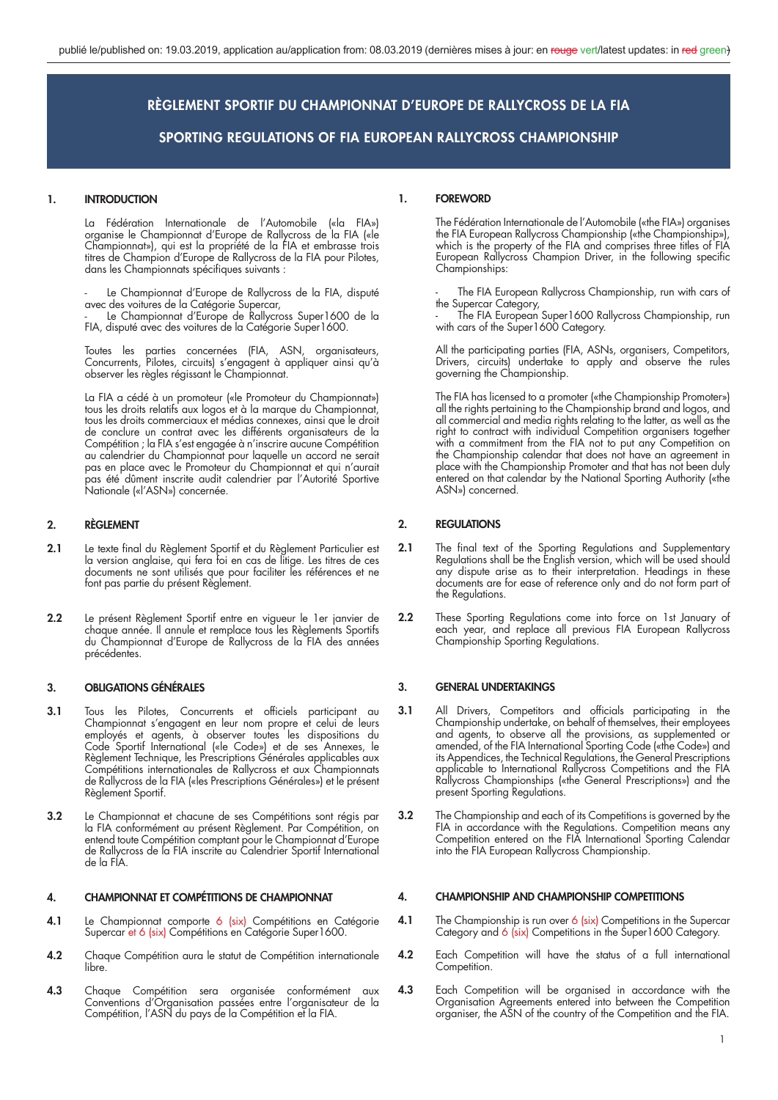# **1. INTRODUCTION**

 La Fédération Internationale de l'Automobile («la FIA») organise le Championnat d'Europe de Rallycross de la FIA («le Championnat»), qui est la propriété de la FIA et embrasse trois titres de Champion d'Europe de Rallycross de la FIA pour Pilotes, dans les Championnats spécifiques suivants :

Le Championnat d'Europe de Rallycross de la FIA, disputé avec des voitures de la Catégorie Supercar,

 - Le Championnat d'Europe de Rallycross Super1600 de la FIA, disputé avec des voitures de la Catégorie Super1600.

> Toutes les parties concernées (FIA, ASN, organisateurs, Concurrents, Pilotes, circuits) s'engagent à appliquer ainsi qu'à observer les règles régissant le Championnat.

> La FIA a cédé à un promoteur («le Promoteur du Championnat») tous les droits relatifs aux logos et à la marque du Championnat, tous les droits commerciaux et médias connexes, ainsi que le droit de conclure un contrat avec les différents organisateurs de la Compétition ; la FIA s'est engagée à n'inscrire aucune Compétition au calendrier du Championnat pour laquelle un accord ne serait pas en place avec le Promoteur du Championnat et qui n'aurait pas été dûment inscrite audit calendrier par l'Autorité Sportive Nationale («l'ASN») concernée.

# **2. RÈGLEMENT**

- 2.1 Le texte final du Règlement Sportif et du Règlement Particulier est la version anglaise, qui fera foi en cas de litige. Les titres de ces documents ne sont utilisés que pour faciliter les références et ne font pas partie du présent Règlement.
- **2.2** Le présent Règlement Sportif entre en vigueur le 1er janvier de chaque année. Il annule et remplace tous les Règlements Sportifs du Championnat d'Europe de Rallycross de la FIA des années précédentes.

# **3. OBLIGATIONS GÉNÉRALES**

- **3.1** Tous les Pilotes, Concurrents et officiels participant au Championnat s'engagent en leur nom propre et celui de leurs employés et agents, à observer toutes les dispositions du Code Sportif International («le Code») et de ses Annexes, le Règlement Technique, les Prescriptions Générales applicables aux Compétitions internationales de Rallycross et aux Championnats de Rallycross de la FIA («les Prescriptions Générales») et le présent Règlement Sportif.
- **3.2** Le Championnat et chacune de ses Compétitions sont régis par la FIA conformément au présent Règlement. Par Compétition, on entend toute Compétition comptant pour le Championnat d'Europe de Rallycross de la FIA inscrite au Calendrier Sportif International de la FIA.

# **4. CHAMPIONNAT ET COMPÉTITIONS DE CHAMPIONNAT**

- 4.1 Le Championnat comporte 6 (six) Compétitions en Catégorie Supercar et 6 (six) Compétitions en Catégorie Super1600.
- **4.2** Chaque Compétition aura le statut de Compétition internationale libre.
- **4.3** Chaque Compétition sera organisée conformément aux Conventions d'Organisation passées entre l'organisateur de la Compétition, l'ASN du pays de la Compétition et la FIA.

# **1. FOREWORD**

 The Fédération Internationale de l'Automobile («the FIA») organises the FIA European Rallycross Championship («the Championship»), which is the property of the FIA and comprises three titles of FIA European Rallycross Champion Driver, in the following specific Championships:

The FIA European Rallycross Championship, run with cars of the Supercar Category,

 - The FIA European Super1600 Rallycross Championship, run with cars of the Super1600 Category.

> All the participating parties (FIA, ASNs, organisers, Competitors, Drivers, circuits) undertake to apply and observe the rules governing the Championship.

 The FIA has licensed to a promoter («the Championship Promoter») all the rights pertaining to the Championship brand and logos, and all commercial and media rights relating to the latter, as well as the right to contract with individual Competition organisers together with a commitment from the FIA not to put any Competition on the Championship calendar that does not have an agreement in place with the Championship Promoter and that has not been duly entered on that calendar by the National Sporting Authority («the ASN») concerned.

# **2. REGULATIONS**

- **2.1** The final text of the Sporting Regulations and Supplementary Regulations shall be the English version, which will be used should any dispute arise as to their interpretation. Headings in these documents are for ease of reference only and do not form part of the Regulations.
- **2.2** These Sporting Regulations come into force on 1st January of each year, and replace all previous FIA European Rallycross Championship Sporting Regulations.

#### **3. GENERAL UNDERTAKINGS**

- **3.1** All Drivers, Competitors and officials participating in the Championship undertake, on behalf of themselves, their employees and agents, to observe all the provisions, as supplemented or amended, of the FIA International Sporting Code («the Code») and its Appendices, the Technical Regulations, the General Prescriptions applicable to International Rallycross Competitions and the FIA Rallycross Championships («the General Prescriptions») and the present Sporting Regulations.
- **3.2** The Championship and each of its Competitions is governed by the FIA in accordance with the Regulations. Competition means any Competition entered on the FIA International Sporting Calendar into the FIA European Rallycross Championship.

### **4. CHAMPIONSHIP AND CHAMPIONSHIP COMPETITIONS**

- **4.1** The Championship is run over 6 (six) Competitions in the Supercar Category and 6 (six) Competitions in the Super1600 Category.
- **4.2** Each Competition will have the status of a full international Competition.
- **4.3** Each Competition will be organised in accordance with the Organisation Agreements entered into between the Competition organiser, the ASN of the country of the Competition and the FIA.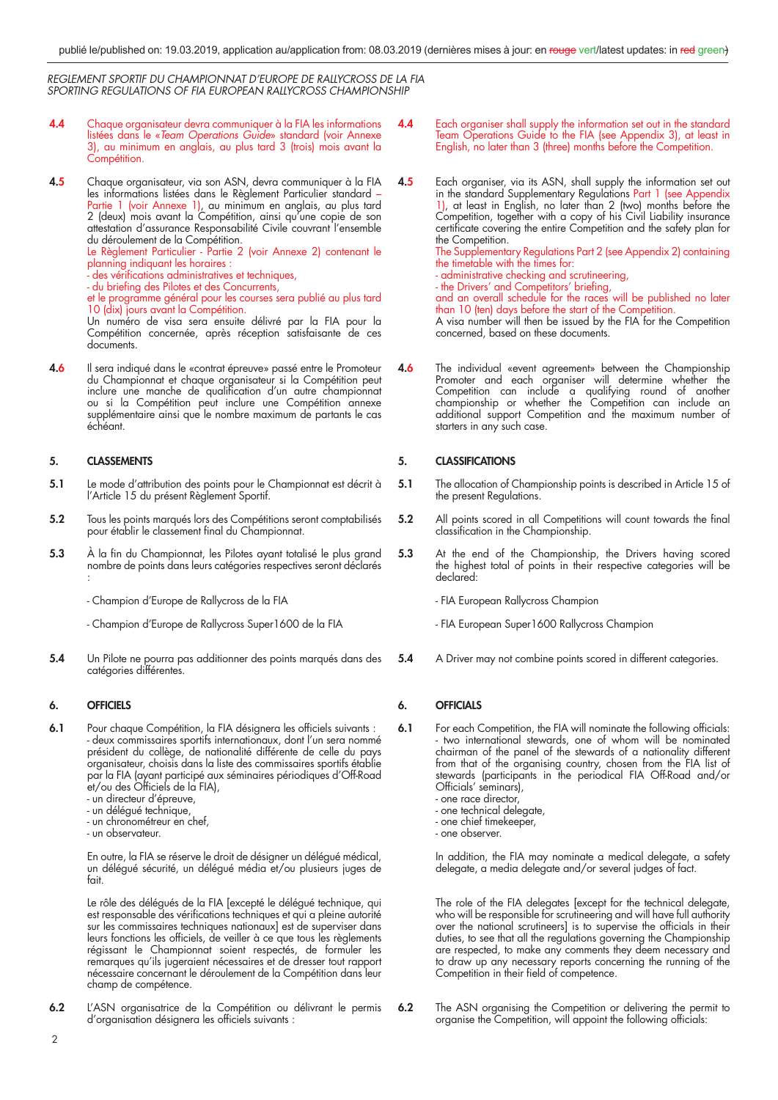- **4.4** Chaque organisateur devra communiquer à la FIA les informations listées dans le «Team Operations Guide» standard (voir Annexe 3), au minimum en anglais, au plus tard 3 (trois) mois avant la Compétition.
- **4.5** Chaque organisateur, via son ASN, devra communiquer à la FIA les informations listées dans le Règlement Particulier standard – Partie 1 (voir Annexe 1), au minimum en anglais, au plus tard 2 (deux) mois avant la Compétition, ainsi qu'une copie de son attestation d'assurance Responsabilité Civile couvrant l'ensemble du déroulement de la Compétition.

Le Règlement Particulier - Partie 2 (voir Annexe 2) contenant le planning indiquant les horaires :

- des vérifications administratives et techniques,
- du briefi ng des Pilotes et des Concurrents,

 et le programme général pour les courses sera publié au plus tard 10 (dix) jours avant la Compétition.

 Un numéro de visa sera ensuite délivré par la FIA pour la Compétition concernée, après réception satisfaisante de ces documents.

**4.6** Il sera indiqué dans le «contrat épreuve» passé entre le Promoteur du Championnat et chaque organisateur si la Compétition peut inclure une manche de qualification d'un autre championnat ou si la Compétition peut inclure une Compétition annexe supplémentaire ainsi que le nombre maximum de partants le cas échéant.

# **5. CLASSEMENTS**

- **5.1** Le mode d'attribution des points pour le Championnat est décrit à l'Article 15 du présent Règlement Sportif.
- **5.2** Tous les points marqués lors des Compétitions seront comptabilisés pour établir le classement final du Championnat.
- 5.3 À la fin du Championnat, les Pilotes ayant totalisé le plus grand nombre de points dans leurs catégories respectives seront déclarés :
	- Champion d'Europe de Rallycross de la FIA
	- Champion d'Europe de Rallycross Super1600 de la FIA
- **5.4** Un Pilote ne pourra pas additionner des points marqués dans des catégories différentes.

# **6. OFFICIELS**

- **6.1** Pour chaque Compétition, la FIA désignera les officiels suivants : - deux commissaires sportifs internationaux, dont l'un sera nommé président du collège, de nationalité différente de celle du pays organisateur, choisis dans la liste des commissaires sportifs établie par la FIA (ayant participé aux séminaires périodiques d'Off-Road et/ou des Officiels de la FIA),
	- un directeur d'épreuve,
	- un délégué technique,
	- un chronométreur en chef,
	- un observateur.

 En outre, la FIA se réserve le droit de désigner un délégué médical, un délégué sécurité, un délégué média et/ou plusieurs juges de fait.

 Le rôle des délégués de la FIA [excepté le délégué technique, qui est responsable des vérifications techniques et qui a pleine autorité sur les commissaires techniques nationaux] est de superviser dans leurs fonctions les officiels, de veiller à ce que tous les règlements régissant le Championnat soient respectés, de formuler les remarques qu'ils jugeraient nécessaires et de dresser tout rapport nécessaire concernant le déroulement de la Compétition dans leur champ de compétence.

**6.2** L'ASN organisatrice de la Compétition ou délivrant le permis d'organisation désignera les officiels suivants :

- **4.4** Each organiser shall supply the information set out in the standard Team Operations Guide to the FIA (see Appendix 3), at least in English, no later than 3 (three) months before the Competition.
- **4.5** Each organiser, via its ASN, shall supply the information set out in the standard Supplementary Regulations Part 1 (see Appendix 1), at least in English, no later than 2 (two) months before the Competition, together with a copy of his Civil Liability insurance certificate covering the entire Competition and the safety plan for the Competition. The Supplementary Regulations Part 2 (see Appendix 2) containing the timetable with the times for:
	- administrative checking and scrutineering,

- the Drivers' and Competitors' briefing, and an overall schedule for the races will be published no later than 10 (ten) days before the start of the Competition. A visa number will then be issued by the FIA for the Competition concerned, based on these documents.

**4.6** The individual «event agreement» between the Championship Promoter and each organiser will determine whether the Competition can include a qualifying round of another championship or whether the Competition can include an additional support Competition and the maximum number of starters in any such case.

# **5. CLASSIFICATIONS**

- **5.1** The allocation of Championship points is described in Article 15 of the present Regulations.
- **5.2** All points scored in all Competitions will count towards the final classification in the Championship.
- **5.3** At the end of the Championship, the Drivers having scored the highest total of points in their respective categories will be declared:
	- FIA European Rallycross Champion
	- FIA European Super1600 Rallycross Champion
- **5.4** A Driver may not combine points scored in different categories.

# **6. OFFICIALS**

- **6.1** For each Competition, the FIA will nominate the following officials: - two international stewards, one of whom will be nominated chairman of the panel of the stewards of a nationality different from that of the organising country, chosen from the FIA list of stewards (participants in the periodical FIA Off-Road and/or Officials' seminars),
	- one race director,
	- one technical delegate, - one chief timekeeper,
	- one observer.
	-

 In addition, the FIA may nominate a medical delegate, a safety delegate, a media delegate and/or several judges of fact.

 The role of the FIA delegates [except for the technical delegate, who will be responsible for scrutineering and will have full authority over the national scrutineers] is to supervise the officials in their duties, to see that all the regulations governing the Championship are respected, to make any comments they deem necessary and to draw up any necessary reports concerning the running of the Competition in their field of competence.

**6.2** The ASN organising the Competition or delivering the permit to organise the Competition, will appoint the following officials: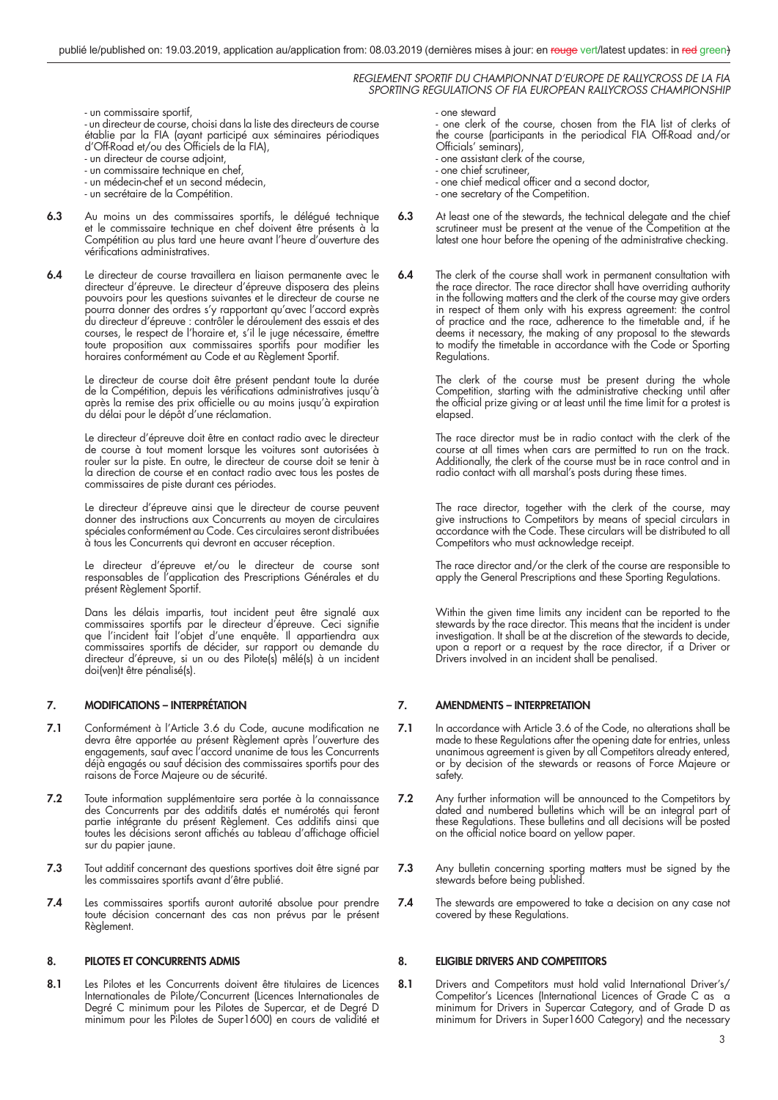- un commissaire sportif,

 - un directeur de course, choisi dans la liste des directeurs de course établie par la FIA (ayant participé aux séminaires périodiques d'Off-Road et/ou des Officiels de la FIA),

- un directeur de course adjoint,
- un commissaire technique en chef,
	- un médecin-chef et un second médecin,
	- un secrétaire de la Compétition.
- **6.3** Au moins un des commissaires sportifs, le délégué technique et le commissaire technique en chef doivent être présents à la Compétition au plus tard une heure avant l'heure d'ouverture des vérifications administratives.
- **6.4** Le directeur de course travaillera en liaison permanente avec le directeur d'épreuve. Le directeur d'épreuve disposera des pleins pouvoirs pour les questions suivantes et le directeur de course ne pourra donner des ordres s'y rapportant qu'avec l'accord exprès du directeur d'épreuve : contrôler le déroulement des essais et des courses, le respect de l'horaire et, s'il le juge nécessaire, émettre toute proposition aux commissaires sportifs pour modifier les horaires conformément au Code et au Règlement Sportif.

 Le directeur de course doit être présent pendant toute la durée de la Compétition, depuis les vérifications administratives jusqu'à après la remise des prix officielle ou au moins jusqu'à expiration du délai pour le dépôt d'une réclamation.

 Le directeur d'épreuve doit être en contact radio avec le directeur de course à tout moment lorsque les voitures sont autorisées à rouler sur la piste. En outre, le directeur de course doit se tenir à la direction de course et en contact radio avec tous les postes de commissaires de piste durant ces périodes.

 Le directeur d'épreuve ainsi que le directeur de course peuvent donner des instructions aux Concurrents au moyen de circulaires spéciales conformément au Code. Ces circulaires seront distribuées à tous les Concurrents qui devront en accuser réception.

 Le directeur d'épreuve et/ou le directeur de course sont responsables de l'application des Prescriptions Générales et du présent Règlement Sportif.

 Dans les délais impartis, tout incident peut être signalé aux commissaires sportifs par le directeur d'épreuve. Ceci signifie que l'incident fait l'objet d'une enquête. Il appartiendra aux commissaires sportifs de décider, sur rapport ou demande du directeur d'épreuve, si un ou des Pilote(s) mêlé(s) à un incident doi(ven)t être pénalisé(s).

# **7. MODIFICATIONS – INTERPRÉTATION**

- **7.1** Conformément à l'Article 3.6 du Code, aucune modification ne devra être apportée au présent Règlement après l'ouverture des engagements, sauf avec l'accord unanime de tous les Concurrents déjà engagés ou sauf décision des commissaires sportifs pour des raisons de Force Majeure ou de sécurité.
- **7.2** Toute information supplémentaire sera portée à la connaissance des Concurrents par des additifs datés et numérotés qui feront partie intégrante du présent Règlement. Ces additifs ainsi que toutes les décisions seront affichés au tableau d'affichage officiel sur du papier jaune.
- **7.3** Tout additif concernant des questions sportives doit être signé par les commissaires sportifs avant d'être publié.
- **7.4** Les commissaires sportifs auront autorité absolue pour prendre toute décision concernant des cas non prévus par le présent Règlement.

# **8. PILOTES ET CONCURRENTS ADMIS**

**8.1** Les Pilotes et les Concurrents doivent être titulaires de Licences Internationales de Pilote/Concurrent (Licences Internationales de Degré C minimum pour les Pilotes de Supercar, et de Degré D minimum pour les Pilotes de Super1600) en cours de validité et

#### - one steward

 - one clerk of the course, chosen from the FIA list of clerks of the course (participants in the periodical FIA Off-Road and/or Officials' seminars),

- one assistant clerk of the course,
- one chief scrutineer,
- one chief medical officer and a second doctor,
- one secretary of the Competition.
- **6.3** At least one of the stewards, the technical delegate and the chief scrutineer must be present at the venue of the Competition at the latest one hour before the opening of the administrative checking.
- **6.4** The clerk of the course shall work in permanent consultation with the race director. The race director shall have overriding authority in the following matters and the clerk of the course may give orders in respect of them only with his express agreement: the control of practice and the race, adherence to the timetable and, if he deems it necessary, the making of any proposal to the stewards to modify the timefable in accordance with the Code or Sporting Regulations.

 The clerk of the course must be present during the whole Competition, starting with the administrative checking until after the official prize giving or at least until the time limit for a protest is elapsed.

 The race director must be in radio contact with the clerk of the course at all times when cars are permitted to run on the track. Additionally, the clerk of the course must be in race control and in radio contact with all marshal's posts during these times.

 The race director, together with the clerk of the course, may give instructions to Competitors by means of special circulars in accordance with the Code. These circulars will be distributed to all Competitors who must acknowledge receipt.

 The race director and/or the clerk of the course are responsible to apply the General Prescriptions and these Sporting Regulations.

> Within the given time limits any incident can be reported to the stewards by the race director. This means that the incident is under investigation. It shall be at the discretion of the stewards to decide, upon a report or a request by the race director, if a Driver or Drivers involved in an incident shall be penalised.

# **7. AMENDMENTS – INTERPRETATION**

- **7.1** In accordance with Article 3.6 of the Code, no alterations shall be made to these Regulations after the opening date for entries, unless unanimous agreement is given by all Competitors already entered, or by decision of the stewards or reasons of Force Majeure or safety.
- **7.2** Any further information will be announced to the Competitors by dated and numbered bulletins which will be an integral part of these Regulations. These bulletins and all decisions will be posted on the official notice board on yellow paper.
- **7.3** Any bulletin concerning sporting matters must be signed by the stewards before being published.
- **7.4** The stewards are empowered to take a decision on any case not covered by these Regulations.

# **8. ELIGIBLE DRIVERS AND COMPETITORS**

8.1 Drivers and Competitors must hold valid International Driver's/ Competitor's Licences (International Licences of Grade C as a minimum for Drivers in Supercar Category, and of Grade D as minimum for Drivers in Super1600 Category) and the necessary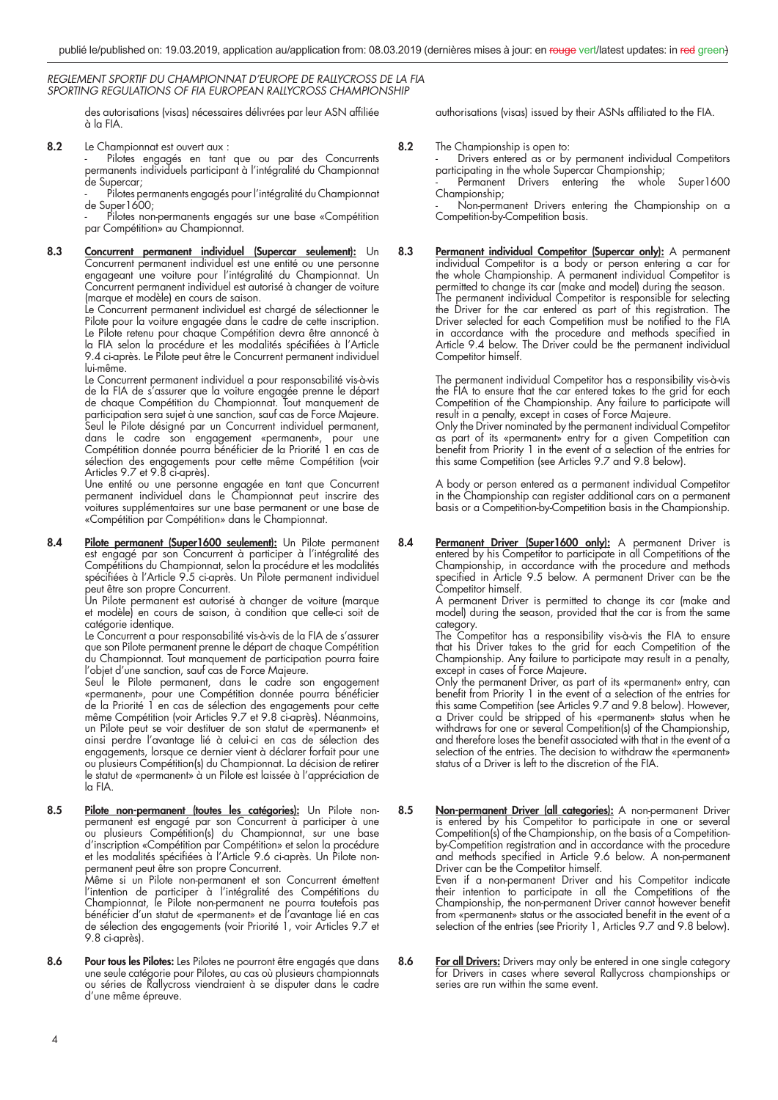des autorisations (visas) nécessaires délivrées par leur ASN affiliée à la FIA.

**8.2** Le Championnat est ouvert aux :

 - Pilotes engagés en tant que ou par des Concurrents permanents individuels participant à l'intégralité du Championnat de Supercar;

Pilotes permanents engagés pour l'intégralité du Championnat de Super1600;

Pilotes non-permanents engagés sur une base «Compétition par Compétition» au Championnat.

**8.3 Concurrent permanent individuel (Supercar seulement):** Un Concurrent permanent individuel est une entité ou une personne engageant une voiture pour l'intégralité du Championnat. Un Concurrent permanent individuel est autorisé à changer de voiture (marque et modèle) en cours de saison.

Le Concurrent permanent individuel est chargé de sélectionner le Pilote pour la voiture engagée dans le cadre de cette inscription. Le Pilote retenu pour chaque Compétition devra être annoncé à la FIA selon la procédure et les modalités spécifiées à l'Article 9.4 ci-après. Le Pilote peut être le Concurrent permanent individuel lui-même.

 Le Concurrent permanent individuel a pour responsabilité vis-à-vis de la FIA de s'assurer que la voiture engagée prenne le départ de chaque Compétition du Championnat. Tout manquement de participation sera sujet à une sanction, sauf cas de Force Majeure. Seul le Pilote désigné par un Concurrent individuel permanent, dans le cadre son engagement «permanent», pour une Compétition donnée pourra bénéficier de la Priorité 1 en cas de sélection des engagements pour cette même Compétition (voir Articles 9.7 et 9.8 ci-après).

 Une entité ou une personne engagée en tant que Concurrent permanent individuel dans le Championnat peut inscrire des voitures supplémentaires sur une base permanent or une base de «Compétition par Compétition» dans le Championnat.

**8.4 Pilote permanent (Super1600 seulement):** Un Pilote permanent est engagé par son Concurrent à participer à l'intégralité des Compétitions du Championnat, selon la procédure et les modalités spécifi ées à l'Article 9.5 ci-après. Un Pilote permanent individuel peut être son propre Concurrent.

 Un Pilote permanent est autorisé à changer de voiture (marque et modèle) en cours de saison, à condition que celle-ci soit de catégorie identique.

Le Concurrent a pour responsabilité vis-à-vis de la FIA de s'assurer que son Pilote permanent prenne le départ de chaque Compétition du Championnat. Tout manquement de participation pourra faire l'objet d'une sanction, sauf cas de Force Majeure.

 Seul le Pilote permanent, dans le cadre son engagement «permanent», pour une Compétition donnée pourra bénéficier de la Priorité 1 en cas de sélection des engagements pour cette même Compétition (voir Articles 9.7 et 9.8 ci-après). Néanmoins, un Pilote peut se voir destituer de son statut de «permanent» et ainsi perdre l'avantage lié à celui-ci en cas de sélection des engagements, lorsque ce dernier vient à déclarer forfait pour une ou plusieurs Compétition(s) du Championnat. La décision de retirer le statut de «permanent» à un Pilote est laissée à l'appréciation de la FIA.

8.5 **Pilote non-permanent (toutes les catégories):** Un Pilote nonpermanent est engagé par son Concurrent à participer à une ou plusieurs Compétition(s) du Championnat, sur une base d'inscription «Compétition par Compétition» et selon la procédure et les modalités spécifiées à l'Article 9.6 ci-après. Un Pilote nonpermanent peut être son propre Concurrent. Même si un Pilote non-permanent et son Concurrent émettent

l'intention de participer à l'intégralité des Compétitions du Championnat, le Pilote non-permanent ne pourra toutefois pas bénéficier d'un statut de «permanent» et de l'avantage lié en cas de sélection des engagements (voir Priorité 1, voir Articles 9.7 et 9.8 ci-après).

8.6 Pour tous les Pilotes: Les Pilotes ne pourront être engagés que dans une seule catégorie pour Pilotes, au cas où plusieurs championnats ou séries de Rallycross viendraient à se disputer dans le cadre d'une même épreuve.

authorisations (visas) issued by their ASNs affiliated to the FIA.

**8.2** The Championship is open to:

Drivers entered as or by permanent individual Competitors participating in the whole Supercar Championship;<br>- Permanent Drivers entering the whole

Drivers entering the whole Super1600 Championship;

Non-permanent Drivers entering the Championship on a Competition-by-Competition basis.

8.3 Permanent individual Competitor (Supercar only): A permanent individual Competitor is a body or person entering a car for the whole Championship. A permanent individual Competitor is permitted to change its car (make and model) during the season. The permanent individual Competitor is responsible for selecting the Driver for the car entered as part of this registration. The Driver selected for each Competition must be notified to the FIA in accordance with the procedure and methods specified in Article 9.4 below. The Driver could be the permanent individual Competitor himself.

> The permanent individual Competitor has a responsibility vis-à-vis the FIA to ensure that the car entered takes to the grid for each Competition of the Championship. Any failure to participate will result in a penalty, except in cases of Force Majeure.

 Only the Driver nominated by the permanent individual Competitor as part of its «permanent» entry for a given Competition can benefit from Priority 1 in the event of a selection of the entries for this same Competition (see Articles 9.7 and 9.8 below).

 A body or person entered as a permanent individual Competitor in the Championship can register additional cars on a permanent basis or a Competition-by-Competition basis in the Championship.

8.4 Permanent Driver (Super1600 only): A permanent Driver is entered by his Competitor to participate in all Competitions of the Championship, in accordance with the procedure and methods specified in Article 9.5 below. A permanent Driver can be the Competitor himself.

 A permanent Driver is permitted to change its car (make and model) during the season, provided that the car is from the same category.

 The Competitor has a responsibility vis-à-vis the FIA to ensure that his Driver takes to the grid for each Competition of the Championship. Any failure to participate may result in a penalty, except in cases of Force Majeure.

 Only the permanent Driver, as part of its «permanent» entry, can benefit from Priority 1 in the event of a selection of the entries for this same Competition (see Articles 9.7 and 9.8 below). However, a Driver could be stripped of his «permanent» status when he withdraws for one or several Competition(s) of the Championship, and therefore loses the benefit associated with that in the event of  $\alpha$ selection of the entries. The decision to withdraw the «permanent» status of a Driver is left to the discretion of the FIA.

8.5 **Non-permanent Driver (all categories):** A non-permanent Driver is entered by his Competitor to participate in one or several Competition(s) of the Championship, on the basis of a Competitionby-Competition registration and in accordance with the procedure and methods specified in Article 9.6 below. A non-permanent Driver can be the Competitor himself.

 Even if a non-permanent Driver and his Competitor indicate their intention to participate in all the Competitions of the Championship, the non-permanent Driver cannot however benefit from «permanent» status or the associated benefit in the event of a selection of the entries (see Priority 1, Articles 9.7 and 9.8 below).

**8.6** For all Drivers: Drivers may only be entered in one single category for Drivers in cases where several Rallycross championships or series are run within the same event.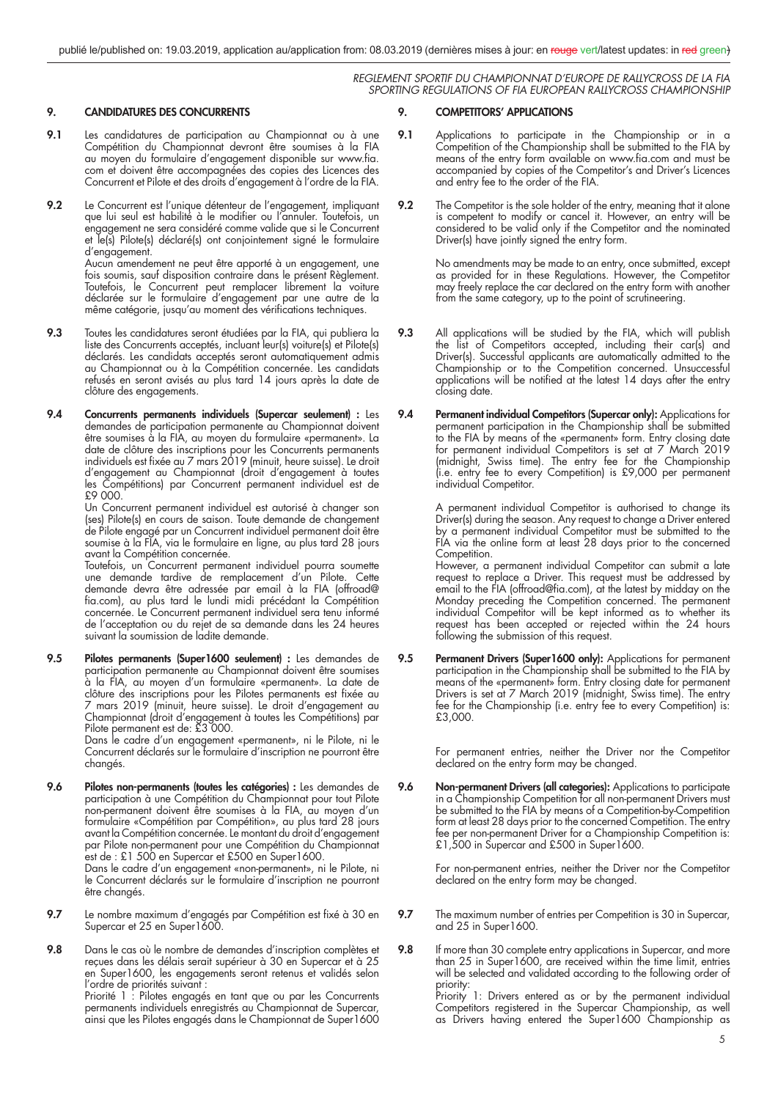# **9. CANDIDATURES DES CONCURRENTS**

- 9.1 Les candidatures de participation au Championnat ou à une Compétition du Championnat devront être soumises à la FIA au moyen du formulaire d'engagement disponible sur www.fia. com et doivent être accompagnées des copies des Licences des Concurrent et Pilote et des droits d'engagement à l'ordre de la FIA.
- **9.2** Le Concurrent est l'unique détenteur de l'engagement, impliquant que lui seul est habilité à le modifier ou l'annuler. Toutefois, un engagement ne sera considéré comme valide que si le Concurrent et le(s) Pilote(s) déclaré(s) ont conjointement signé le formulaire d'engagement. Aucun amendement ne peut être apporté à un engagement, une fois soumis, sauf disposition contraire dans le présent Règlement.

Toutefois, le Concurrent peut remplacer librement la voiture déclarée sur le formulaire d'engagement par une autre de la même catégorie, jusqu'au moment des vérifications techniques.

- **9.3** Toutes les candidatures seront étudiées par la FIA, qui publiera la liste des Concurrents acceptés, incluant leur(s) voiture(s) et Pilote(s) déclarés. Les candidats acceptés seront automatiquement admis au Championnat ou à la Compétition concernée. Les candidats refusés en seront avisés au plus tard 14 jours après la date de clôture des engagements.
- **9.4 Concurrents permanents individuels (Supercar seulement) :** Les demandes de participation permanente au Championnat doivent être soumises à la FIA, au moyen du formulaire «permanent». La date de clôture des inscriptions pour les Concurrents permanents individuels est fi xée au 7 mars 2019 (minuit, heure suisse). Le droit d'engagement au Championnat (droit d'engagement à toutes les Compétitions) par Concurrent permanent individuel est de £9 000.

 Un Concurrent permanent individuel est autorisé à changer son (ses) Pilote(s) en cours de saison. Toute demande de changement de Pilote engagé par un Concurrent individuel permanent doit être soumise à la FIA, via le formulaire en ligne, au plus tard 28 jours avant la Compétition concernée.

 Toutefois, un Concurrent permanent individuel pourra soumette une demande tardive de remplacement d'un Pilote. Cette demande devra être adressée par email à la FIA (offroad@ fia.com), au plus tard le lundi midi précédant la Compétition concernée. Le Concurrent permanent individuel sera tenu informé de l'acceptation ou du rejet de sa demande dans les 24 heures suivant la soumission de ladite demande.

**9.5 Pilotes permanents (Super1600 seulement) :** Les demandes de participation permanente au Championnat doivent être soumises à la FIA, au moyen d'un formulaire «permanent». La date de clôture des inscriptions pour les Pilotes permanents est fixée au 7 mars 2019 (minuit, heure suisse). Le droit d'engagement au Championnat (droit d'engagement à toutes les Compétitions) par Pilote permanent est de: £3 000.

 Dans le cadre d'un engagement «permanent», ni le Pilote, ni le Concurrent déclarés sur le formulaire d'inscription ne pourront être changés.

**9.6 Pilotes non-permanents (toutes les catégories) :** Les demandes de participation à une Compétition du Championnat pour tout Pilote non-permanent doivent être soumises à la FIA, au moyen d'un formulaire «Compétition par Compétition», au plus tard 28 jours avant la Compétition concernée. Le montant du droit d'engagement par Pilote non-permanent pour une Compétition du Championnat est de : £1 500 en Supercar et £500 en Super1600.

 Dans le cadre d'un engagement «non-permanent», ni le Pilote, ni le Concurrent déclarés sur le formulaire d'inscription ne pourront être changés.

- **9.7** Le nombre maximum d'engagés par Compétition est fixé à 30 en Supercar et 25 en Super1600.
- 9.8 Dans le cas où le nombre de demandes d'inscription complètes et reçues dans les délais serait supérieur à 30 en Supercar et à 25 en Super1600, les engagements seront retenus et validés selon l'ordre de priorités suivant :

 Priorité 1 : Pilotes engagés en tant que ou par les Concurrents permanents individuels enregistrés au Championnat de Supercar, ainsi que les Pilotes engagés dans le Championnat de Super1600

# **9. COMPETITORS' APPLICATIONS**

- **9.1** Applications to participate in the Championship or in a Competition of the Championship shall be submitted to the FIA by means of the entry form available on www.fia.com and must be accompanied by copies of the Competitor's and Driver's Licences and entry fee to the order of the FIA.
- **9.2** The Competitor is the sole holder of the entry, meaning that it alone is competent to modify or cancel it. However, an entry will be considered to be valid only if the Competitor and the nominated Driver(s) have jointly signed the entry form.

 No amendments may be made to an entry, once submitted, except as provided for in these Regulations. However, the Competitor may freely replace the car declared on the entry form with another from the same category, up to the point of scrutineering.

- **9.3** All applications will be studied by the FIA, which will publish the list of Competitors accepted, including their car(s) and Driver(s). Successful applicants are automatically admitted to the Championship or to the Competition concerned. Unsuccessful applications will be notified at the latest 14 days after the entry closing date.
- **9.4 Permanent individual Competitors (Supercar only):** Applications for permanent participation in the Championship shall be submitted to the FIA by means of the «permanent» form. Entry closing date for permanent individual Competitors is set at 7 March 2019 (midnight, Swiss time). The entry fee for the Championship (i.e. entry fee to every Competition) is £9,000 per permanent individual Competitor.

 A permanent individual Competitor is authorised to change its Driver(s) during the season. Any request to change a Driver entered by a permanent individual Competitor must be submitted to the FIA via the online form at least 28 days prior to the concerned Competition.

 However, a permanent individual Competitor can submit a late request to replace a Driver. This request must be addressed by email to the FIA (offroad@fia.com), at the latest by midday on the Monday preceding the Competition concerned. The permanent individual Competitor will be kept informed as to whether its request has been accepted or rejected within the 24 hours following the submission of this request.

**9.5** Permanent Drivers (Super 1600 only): Applications for permanent participation in the Championship shall be submitted to the FIA by means of the «permanent» form. Entry closing date for permanent Drivers is set at 7 March 2019 (midnight, Swiss time). The entry fee for the Championship (i.e. entry fee to every Competition) is: £3,000.

> For permanent entries, neither the Driver nor the Competitor declared on the entry form may be changed.

**9.6 Non-permanent Drivers (all categories):** Applications to participate in a Championship Competition for all non-permanent Drivers must be submitted to the FIA by means of a Competition-by-Competition form at least 28 days prior to the concerned Competition. The entry fee per non-permanent Driver for a Championship Competition is: £1,500 in Supercar and £500 in Super1600.

 For non-permanent entries, neither the Driver nor the Competitor declared on the entry form may be changed.

- **9.7** The maximum number of entries per Competition is 30 in Supercar, and 25 in Super1600.
- **9.8** If more than 30 complete entry applications in Supercar, and more than 25 in Super1600, are received within the time limit, entries will be selected and validated according to the following order of priority:

 Priority 1: Drivers entered as or by the permanent individual Competitors registered in the Supercar Championship, as well as Drivers having entered the Super1600 Championship as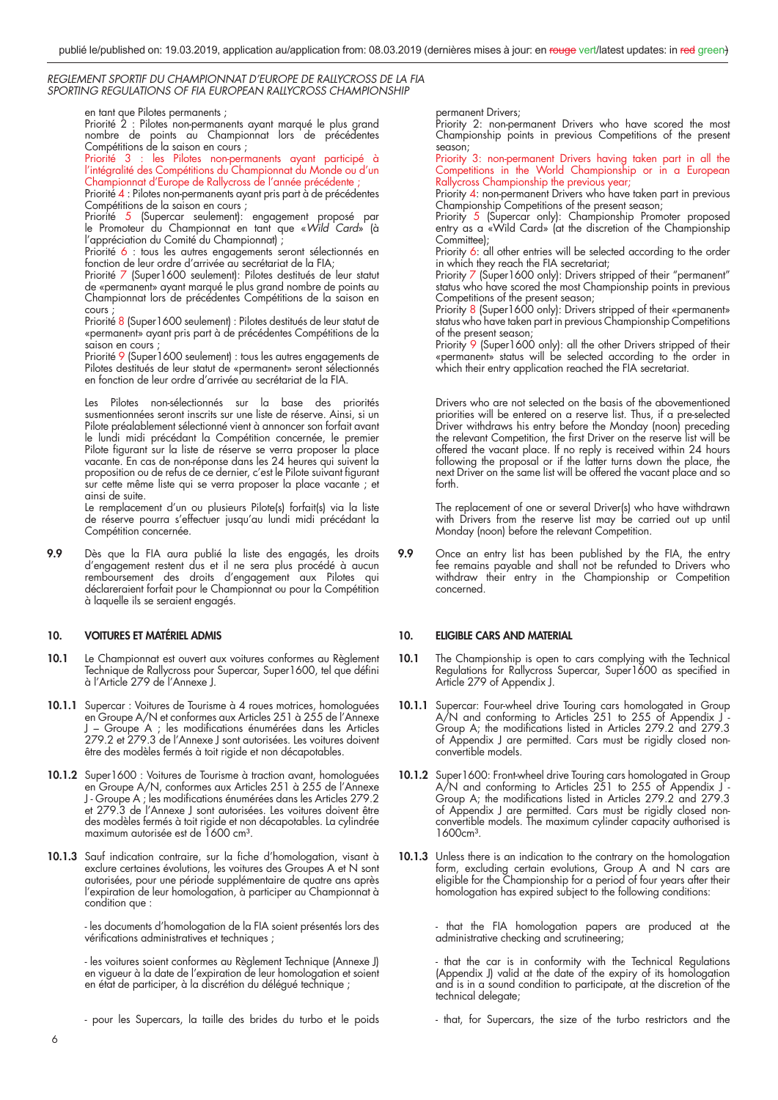#### en tant que Pilotes permanents ;

Priorité 2 : Pilotes non-permanents ayant marqué le plus grand nombre de points au Championnat lors de précédentes Compétitions de la saison en cours ;

Priorité 3 : les Pilotes non-permanents ayant participé à l'intégralité des Compétitions du Championnat du Monde ou d'un Championnat d'Europe de Rallycross de l'année précédente

Priorité 4 : Pilotes non-permanents ayant pris part à de précédentes Compétitions de la saison en cours ;

Priorité 5 (Supercar seulement): engagement proposé par le Promoteur du Championnat en tant que «Wild Card» (à l'appréciation du Comité du Championnat) ;

Priorité 6 : tous les autres engagements seront sélectionnés en fonction de leur ordre d'arrivée au secrétariat de la FIA;

Priorité 7 (Super1600 seulement): Pilotes destitués de leur statut de «permanent» ayant marqué le plus grand nombre de points au Championnat lors de précédentes Compétitions de la saison en cours ;

Priorité 8 (Super 1600 seulement) : Pilotes destitués de leur statut de «permanent» ayant pris part à de précédentes Compétitions de la saison en cours

Priorité 9 (Super1600 seulement) : tous les autres engagements de Pilotes destitués de leur statut de «permanent» seront sélectionnés en fonction de leur ordre d'arrivée au secrétariat de la FIA.

 Les Pilotes non-sélectionnés sur la base des priorités susmentionnées seront inscrits sur une liste de réserve. Ainsi, si un Pilote préalablement sélectionné vient à annoncer son forfait avant le lundi midi précédant la Compétition concernée, le premier Pilote figurant sur la liste de réserve se verra proposer la place vacante. En cas de non-réponse dans les 24 heures qui suivent la proposition ou de refus de ce dernier, c'est le Pilote suivant figurant sur cette même liste qui se verra proposer la place vacante ; et ainsi de suite.

 Le remplacement d'un ou plusieurs Pilote(s) forfait(s) via la liste de réserve pourra s'effectuer jusqu'au lundi midi précédant la Compétition concernée.

**9.9** Dès que la FIA aura publié la liste des engagés, les droits d'engagement restent dus et il ne sera plus procédé à aucun remboursement des droits d'engagement aux Pilotes qui déclareraient forfait pour le Championnat ou pour la Compétition à laquelle ils se seraient engagés.

# **10. VOITURES ET MATÉRIEL ADMIS**

- **10.1** Le Championnat est ouvert aux voitures conformes au Règlement Technique de Rallycross pour Supercar, Super1600, tel que défini à l'Article 279 de l'Annexe J.
- **10.1.1** Supercar : Voitures de Tourisme à 4 roues motrices, homologuées en Groupe A/N et conformes aux Articles 251 à 255 de l'Annexe J – Groupe A ; les modifications énumérées dans les Articles 279.2 et 279.3 de l'Annexe J sont autorisées. Les voitures doivent être des modèles fermés à toit rigide et non décapotables.
- **10.1.2** Super1600 : Voitures de Tourisme à traction avant, homologuées en Groupe A/N, conformes aux Articles 251 à 255 de l'Annexe J - Groupe A ; les modifications énumérées dans les Articles 279.2 et 279.3 de l'Annexe J sont autorisées. Les voitures doivent être des modèles fermés à toit rigide et non décapotables. La cylindrée maximum autorisée est de 1600 cm<sup>3</sup>.
- **10.1.3** Sauf indication contraire, sur la fiche d'homologation, visant à exclure certaines évolutions, les voitures des Groupes A et N sont autorisées, pour une période supplémentaire de quatre ans après l'expiration de leur homologation, à participer au Championnat à condition que :

 - les documents d'homologation de la FIA soient présentés lors des vérifications administratives et techniques ;

 - les voitures soient conformes au Règlement Technique (Annexe J) en vigueur à la date de l'expiration de leur homologation et soient en état de participer, à la discrétion du délégué technique ;

- pour les Supercars, la taille des brides du turbo et le poids

permanent Drivers;

 Priority 2: non-permanent Drivers who have scored the most Championship points in previous Competitions of the present season;

Priority 3: non-permanent Drivers having taken part in all the Competitions in the World Championship or in a European Rallycross Championship the previous year;

Priority 4: non-permanent Drivers who have taken part in previous Championship Competitions of the present season;

Priority 5 (Supercar only): Championship Promoter proposed entry as a «Wild Card» (at the discretion of the Championship Committee);

Priority 6: all other entries will be selected according to the order in which they reach the FIA secretariat;

Priority 7 (Super1600 only): Drivers stripped of their "permanent" status who have scored the most Championship points in previous Competitions of the present season;

Priority 8 (Super1600 only): Drivers stripped of their «permanent» status who have taken part in previous Championship Competitions of the present season;

 Priority 9 (Super1600 only): all the other Drivers stripped of their «permanent» status will be selected according to the order in which their entry application reached the FIA secretariat.

> Drivers who are not selected on the basis of the abovementioned priorities will be entered on a reserve list. Thus, if a pre-selected Driver withdraws his entry before the Monday (noon) preceding the relevant Competition, the first Driver on the reserve list will be offered the vacant place. If no reply is received within 24 hours following the proposal or if the latter turns down the place, the next Driver on the same list will be offered the vacant place and so forth.

> The replacement of one or several Driver(s) who have withdrawn with Drivers from the reserve list may be carried out up until Monday (noon) before the relevant Competition.

**9.9** Once an entry list has been published by the FIA, the entry fee remains payable and shall not be refunded to Drivers who withdraw their entry in the Championship or Competition concerned.

# **10. ELIGIBLE CARS AND MATERIAL**

- **10.1** The Championship is open to cars complying with the Technical Regulations for Rallycross Supercar, Super1600 as specified in Article 279 of Appendix J.
- **10.1.1** Supercar: Four-wheel drive Touring cars homologated in Group A/N and conforming to Articles 251 to 255 of Appendix J - Group A; the modifications listed in Articles 279.2 and 279.3 of Appendix J are permitted. Cars must be rigidly closed nonconvertible models.
- **10.1.2** Super1600: Front-wheel drive Touring cars homologated in Group A/N and conforming to Articles 251 to 255 of Appendix J - Group A; the modifications listed in Articles 279.2 and 279.3 of Appendix J are permitted. Cars must be rigidly closed nonconvertible models. The maximum cylinder capacity authorised is 1600cm<sup>3</sup>.
- **10.1.3** Unless there is an indication to the contrary on the homologation form, excluding certain evolutions, Group A and N cars are eligible for the Championship for a period of four years after their homologation has expired subject to the following conditions:

 - that the FIA homologation papers are produced at the administrative checking and scrutineering;

 - that the car is in conformity with the Technical Regulations (Appendix J) valid at the date of the expiry of its homologation and is in a sound condition to participate, at the discretion of the technical delegate;

- that, for Supercars, the size of the turbo restrictors and the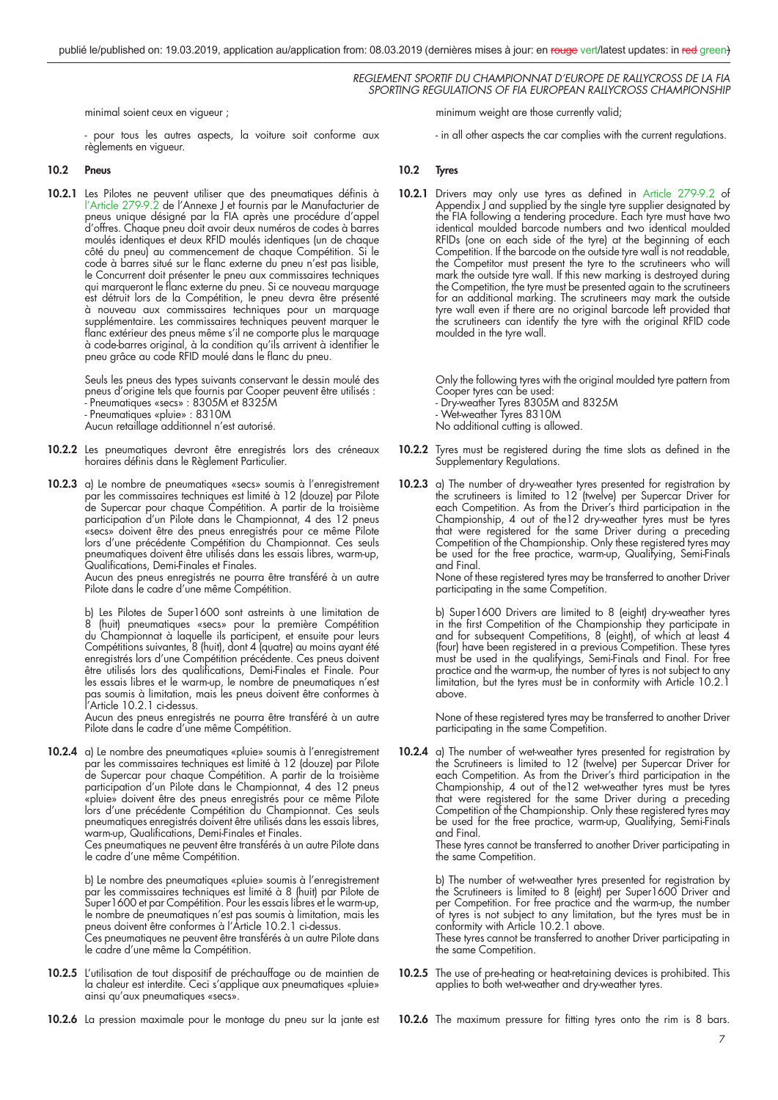minimal soient ceux en vigueur ;

 - pour tous les autres aspects, la voiture soit conforme aux règlements en vigueur.

# **10.2 Pneus**

**10.2.1** Les Pilotes ne peuvent utiliser que des pneumatiques définis à l'Article 279-9.2 de l'Annexe J et fournis par le Manufacturier de pneus unique désigné par la FIA après une procédure d'appel d'offres. Chaque pneu doit avoir deux numéros de codes à barres moulés identiques et deux RFID moulés identiques (un de chaque côté du pneu) au commencement de chaque Compétition. Si le code à barres situé sur le flanc externe du pneu n'est pas lisible, le Concurrent doit présenter le pneu aux commissaires techniques qui marqueront le flanc externe du pneu. Si ce nouveau marquage est détruit lors de la Compétition, le pneu devra être présenté à nouveau aux commissaires techniques pour un marquage supplémentaire. Les commissaires techniques peuvent marquer le flanc extérieur des pneus même s'il ne comporte plus le marquage à code-barres original, à la condition qu'ils arrivent à identifier le pneu grâce au code RFID moulé dans le flanc du pneu.

> Seuls les pneus des types suivants conservant le dessin moulé des pneus d'origine tels que fournis par Cooper peuvent être utilisés : - Pneumatiques «secs» : 8305M et 8325M - Pneumatiques «pluie» : 8310M Aucun retaillage additionnel n'est autorisé.

- **10.2.2** Les pneumatiques devront être enregistrés lors des créneaux horaires définis dans le Règlement Particulier.
- **10.2.3** a) Le nombre de pneumatiques «secs» soumis à l'enregistrement par les commissaires techniques est limité à 12 (douze) par Pilote de Supercar pour chaque Compétition. A partir de la troisième participation d'un Pilote dans le Championnat, 4 des 12 pneus «secs» doivent être des pneus enregistrés pour ce même Pilote lors d'une précédente Compétition du Championnat. Ces seuls pneumatiques doivent être utilisés dans les essais libres, warm-up, Qualifications, Demi-Finales et Finales.

 Aucun des pneus enregistrés ne pourra être transféré à un autre Pilote dans le cadre d'une même Compétition.

 b) Les Pilotes de Super1600 sont astreints à une limitation de 8 (huit) pneumatiques «secs» pour la première Compétition du Championnat à laquelle ils participent, et ensuite pour leurs Compétitions suivantes, 8 (huit), dont 4 (quatre) au moins ayant été enregistrés lors d'une Compétition précédente. Ces pneus doivent être utilisés lors des qualifications, Demi-Finales et Finale. Pour les essais libres et le warm-up, le nombre de pneumatiques n'est pas soumis à limitation, mais les pneus doivent être conformes à l'Article 10.2.1 ci-dessus.

 Aucun des pneus enregistrés ne pourra être transféré à un autre Pilote dans le cadre d'une même Compétition.

**10.2.4** a) Le nombre des pneumatiques «pluie» soumis à l'enregistrement par les commissaires techniques est limité à 12 (douze) par Pilote de Supercar pour chaque Compétition. A partir de la troisième participation d'un Pilote dans le Championnat, 4 des 12 pneus «pluie» doivent être des pneus enregistrés pour ce même Pilote lors d'une précédente Compétition du Championnat. Ces seuls pneumatiques enregistrés doivent être utilisés dans les essais libres, warm-up, Qualifications, Demi-Finales et Finales.

 Ces pneumatiques ne peuvent être transférés à un autre Pilote dans le cadre d'une même Compétition.

 b) Le nombre des pneumatiques «pluie» soumis à l'enregistrement par les commissaires techniques est limité à 8 (huit) par Pilote de Super1600 et par Compétition. Pour les essais libres et le warm-up, le nombre de pneumatiques n'est pas soumis à limitation, mais les pneus doivent être conformes à l'Article 10.2.1 ci-dessus.

 Ces pneumatiques ne peuvent être transférés à un autre Pilote dans le cadre d'une même la Compétition.

**10.2.5** L'utilisation de tout dispositif de préchauffage ou de maintien de la chaleur est interdite. Ceci s'applique aux pneumatiques «pluie» ainsi qu'aux pneumatiques «secs».

minimum weight are those currently valid;

- in all other aspects the car complies with the current regulations.

# **10.2 Tyres**

10.2.1 Drivers may only use tyres as defined in Article 279-9.2 of Appendix  $J$  and supplied by the single tyre supplier designated by the FIA following a tendering procedure. Each tyre must have two identical moulded barcode numbers and two identical moulded RFIDs (one on each side of the tyre) at the beginning of each Competition. If the barcode on the outside tyre wall is not readable, the Competitor must present the tyre to the scrutineers who will mark the outside tyre wall. If this new marking is destroyed during the Competition, the tyre must be presented again to the scrutineers for an additional marking. The scrutineers may mark the outside tyre wall even if there are no original barcode left provided that the scrutineers can identify the tyre with the original RFID code moulded in the tyre wall.

> Only the following tyres with the original moulded tyre pattern from Cooper tyres can be used:

- Dry-weather Tyres 8305M and 8325M
- Wet-weather Tyres 8310M
- No additional cutting is allowed.
- **10.2.2** Tyres must be registered during the time slots as defined in the Supplementary Regulations.
- **10.2.3** a) The number of dry-weather tyres presented for registration by the scrutineers is limited to 12 (twelve) per Supercar Driver for each Competition. As from the Driver's third participation in the Championship, 4 out of the12 dry-weather tyres must be tyres that were registered for the same Driver during a preceding Competition of the Championship. Only these registered tyres may be used for the free practice, warm-up, Qualifying, Semi-Finals and Final.

 None of these registered tyres may be transferred to another Driver participating in the same Competition.

 b) Super1600 Drivers are limited to 8 (eight) dry-weather tyres in the first Competition of the Championship they participate in and for subsequent Competitions, 8 (eight), of which at least 4 (four) have been registered in a previous Competition. These tyres must be used in the qualifyings, Semi-Finals and Final. For free practice and the warm-up, the number of tyres is not subject to any limitation, but the tyres must be in conformity with Article 10.2.1 above.

 None of these registered tyres may be transferred to another Driver participating in the same Competition.

**10.2.4** a) The number of wet-weather tyres presented for registration by the Scrutineers is limited to 12 (twelve) per Supercar Driver for each Competition. As from the Driver's third participation in the Championship, 4 out of the12 wet-weather tyres must be tyres that were registered for the same Driver during a preceding Competition of the Championship. Only these registered tyres may be used for the free practice, warm-up, Qualifying, Semi-Finals and Final.

> These tyres cannot be transferred to another Driver participating in the same Competition.

> b) The number of wet-weather tyres presented for registration by the Scrutineers is limited to 8 (eight) per Super1600 Driver and per Competition. For free practice and the warm-up, the number of tyres is not subject to any limitation, but the tyres must be in conformity with Article 10.2.1 above.

> These tyres cannot be transferred to another Driver participating in the same Competition.

- **10.2.5** The use of pre-heating or heat-retaining devices is prohibited. This applies to both wet-weather and dry-weather tyres.
- **10.2.6** La pression maximale pour le montage du pneu sur la jante est

**10.2.6** The maximum pressure for fitting tyres onto the rim is 8 bars.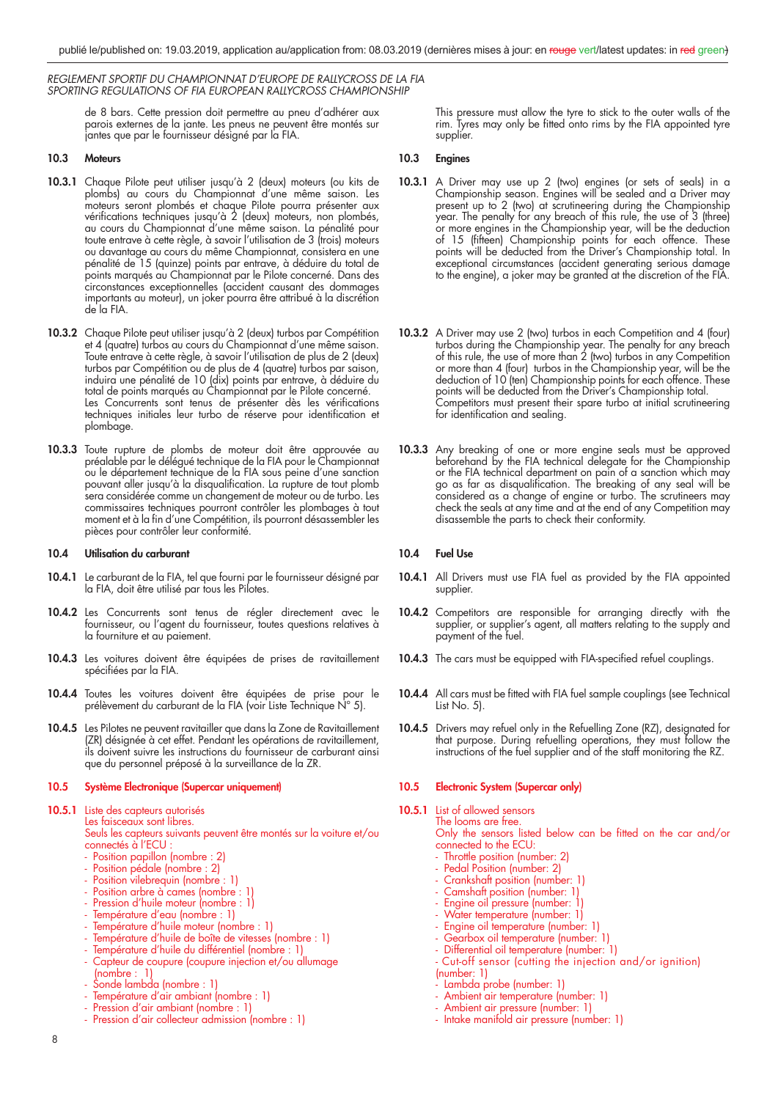> de 8 bars. Cette pression doit permettre au pneu d'adhérer aux parois externes de la jante. Les pneus ne peuvent être montés sur jantes que par le fournisseur désigné par la FIA.

# **10.3 Moteurs**

- **10.3.1** Chaque Pilote peut utiliser jusqu'à 2 (deux) moteurs (ou kits de plombs) au cours du Championnat d'une même saison. Les moteurs seront plombés et chaque Pilote pourra présenter aux vérifications techniques jusqu'à 2 (deux) moteurs, non plombés, au cours du Championnat d'une même saison. La pénalité pour toute entrave à cette règle, à savoir l'utilisation de 3 (trois) moteurs ou davantage au cours du même Championnat, consistera en une pénalité de 15 (quinze) points par entrave, à déduire du total de points marqués au Championnat par le Pilote concerné. Dans des circonstances exceptionnelles (accident causant des dommages importants au moteur), un joker pourra être attribué à la discrétion de la FIA.
- **10.3.2** Chaque Pilote peut utiliser jusqu'à 2 (deux) turbos par Compétition et 4 (quatre) turbos au cours du Championnat d'une même saison. Toute entrave à cette règle, à savoir l'utilisation de plus de 2 (deux) turbos par Compétition ou de plus de 4 (quatre) turbos par saison, induira une pénalité de 10 (dix) points par entrave, à déduire du total de points marqués au Championnat par le Pilote concerné. Les Concurrents sont tenus de présenter dès les vérifications techniques initiales leur turbo de réserve pour identification et plombage.
- **10.3.3** Toute rupture de plombs de moteur doit être approuvée au préalable par le délégué technique de la FIA pour le Championnat ou le département technique de la FIA sous peine d'une sanction pouvant aller jusqu'à la disqualification. La rupture de tout plomb sera considérée comme un changement de moteur ou de turbo. Les commissaires techniques pourront contrôler les plombages à tout moment et à la fin d'une Compétition, ils pourront désassembler les pièces pour contrôler leur conformité.

# **10.4 Utilisation du carburant**

- **10.4.1** Le carburant de la FIA, tel que fourni par le fournisseur désigné par la FIA, doit être utilisé par tous les Pilotes.
- **10.4.2** Les Concurrents sont tenus de régler directement avec le fournisseur, ou l'agent du fournisseur, toutes questions relatives à la fourniture et au paiement.
- **10.4.3** Les voitures doivent être équipées de prises de ravitaillement spécifiées par la FIA.
- **10.4.4** Toutes les voitures doivent être équipées de prise pour le prélèvement du carburant de la FIA (voir Liste Technique N° 5).
- **10.4.5** Les Pilotes ne peuvent ravitailler que dans la Zone de Ravitaillement (ZR) désignée à cet effet. Pendant les opérations de ravitaillement, ils doivent suivre les instructions du fournisseur de carburant ainsi que du personnel préposé à la surveillance de la ZR.

# **10.5 Système Electronique (Supercar uniquement)**

10.5.1 Liste des capteurs autorisés Les faisceaux sont libres. Seuls les capteurs suivants peuvent être montés sur la voiture et/ou

connectés à l'ECU

- Position papillon (nombre : 2)
- Position pédale (nombre : 2)
	- Position vilebrequin (nombre : 1)
	- Position arbre à cames (nombre : 1
- Pression d'huile moteur (nombre : 1)
- Température d'eau (nombre : 1)
	- Température d'huile moteur (nombre : 1)
	- Température d'huile de boîte de vitesses (nombre : 1)
	- Température d'huile du différentiel (nombre : 1)
	- Capteur de coupure (coupure injection et/ou allumage (nombre : 1)
	- Sonde lambda (nombre : 1)
	- Température d'air ambiant (nombre : 1)
	- Pression d'air ambiant (nombre : 1)
	- Pression d'air collecteur admission (nombre : 1)

This pressure must allow the tyre to stick to the outer walls of the rim. Tyres may only be fitted onto rims by the FIA appointed tyre supplier.

# **10.3 Engines**

- **10.3.1** A Driver may use up 2 (two) engines (or sets of seals) in a Championship season. Engines will be sealed and a Driver may present up to 2 (two) at scrutineering during the Championship year. The penalty for any breach of this rule, the use of 3 (three) or more engines in the Championship year, will be the deduction of 15 (fifteen) Championship points for each offence. These points will be deducted from the Driver's Championship total. In exceptional circumstances (accident generating serious damage to the engine), a joker may be granted at the discretion of the FIA.
- **10.3.2** A Driver may use 2 (two) turbos in each Competition and 4 (four) turbos during the Championship year. The penalty for any breach of this rule, the use of more than 2 (two) turbos in any Competition or more than 4 (four) turbos in the Championship year, will be the deduction of 10 (ten) Championship points for each offence. These points will be deducted from the Driver's Championship total. Competitors must present their spare turbo at initial scrutineering for identification and sealing.
- **10.3.3** Any breaking of one or more engine seals must be approved beforehand by the FIA technical delegate for the Championship or the FIA technical department on pain of a sanction which may go as far as disqualification. The breaking of any seal will be considered as a change of engine or turbo. The scrutineers may check the seals at any time and at the end of any Competition may disassemble the parts to check their conformity.

# **10.4 Fuel Use**

- **10.4.1** All Drivers must use FIA fuel as provided by the FIA appointed supplier.
- 10.4.2 Competitors are responsible for arranging directly with the supplier, or supplier's agent, all matters relating to the supply and payment of the fuel.
- **10.4.3** The cars must be equipped with FIA-specified refuel couplings.
- **10.4.4** All cars must be fitted with FIA fuel sample couplings (see Technical List No. 5).
- **10.4.5** Drivers may refuel only in the Refuelling Zone (RZ), designated for that purpose. During refuelling operations, they must follow the instructions of the fuel supplier and of the staff monitoring the RZ.

# **10.5 Electronic System (Supercar only)**

**10.5.1** List of allowed sensors The looms are free.

Only the sensors listed below can be fitted on the car and/or connected to the ECU:

- Throttle position (number: 2)
- Pedal Position (number: 2)
	- Crankshaft position (number: 1)
	- Camshaft position (number: 1)
	- Engine oil pressure (number: 1)
	- Water temperature (number: 1)
	- Engine oil temperature (number: 1)
	- Gearbox oil temperature (number: 1)
	- Differential oil temperature (number: 1) - Cut-off sensor (cutting the injection and/or ignition) (number: 1)
	-
	- Lambda probe (number: 1)
	- Ambient air temperature (number: 1) Ambient air pressure (number: 1)
	- Intake manifold air pressure (number: 1)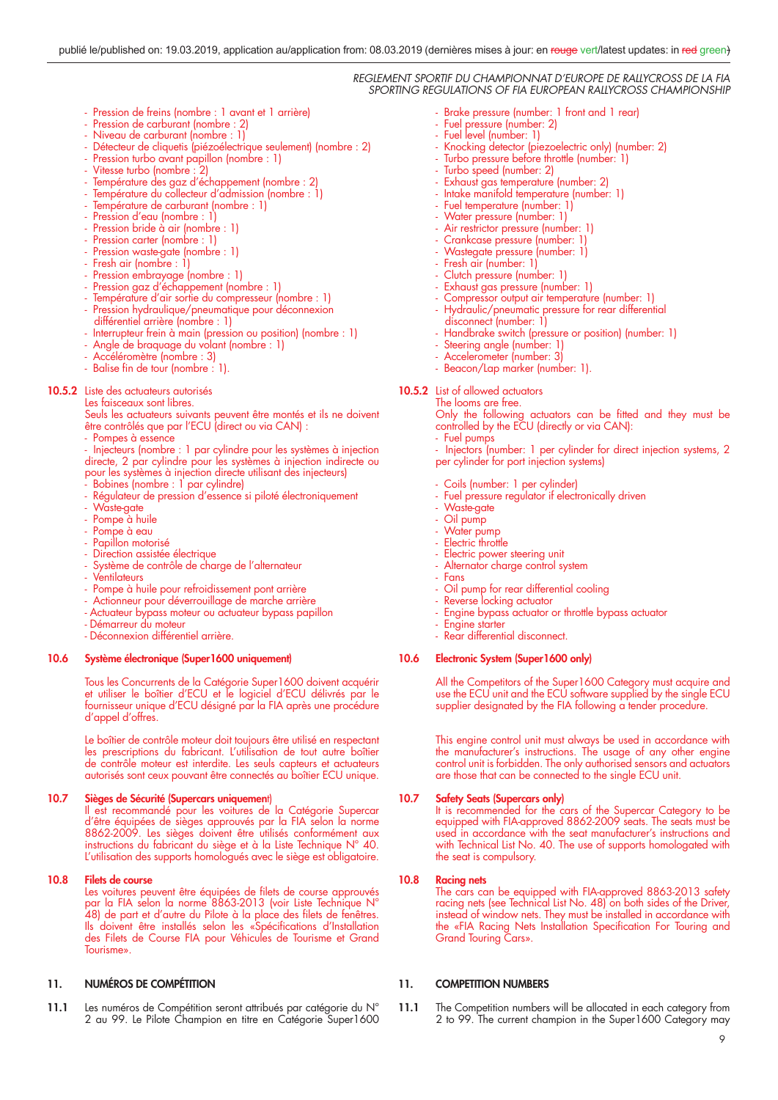- Pression de freins (nombre : 1 avant et 1 arrière)
- Pression de carburant (nombre : 2)
- Niveau de carburant (nombre : 1)
- Détecteur de cliquetis (piézoélectrique seulement) (nombre : 2)
- Pression turbo avant papillon (nombre : 1)
- Vitesse turbo (nombre : 2)
- Température des gaz d'échappement (nombre : 2)
- Température du collecteur d'admission (nombre : 1)
- Température de carburant (nombre : 1)
- Pression d'eau (nombre : 1)
- Pression bride à air (nombre : 1)
- Pression carter (nombre : 1)
- Pression waste-gate (nombre : 1) - Fresh air (nombre : 1)
- 
- Pression embrayage (nombre : 1)
- Pression gaz d'échappement (nombre : 1)
	- Température d'air sortie du compresseur (nombre : 1) - Pression hydraulique/pneumatique pour déconnexion
	- différentiel arrière (nombre : 1)
	- Interrupteur frein à main (pression ou position) (nombre : 1)
	- Angle de braquage du volant (nombre : 1)
	- Accéléromètre (nombre : 3)
	- Balise fin de tour (nombre : 1).

# 10.5.2 Liste des actuateurs autorisés

 Les faisceaux sont libres. Seuls les actuateurs suivants peuvent être montés et ils ne doivent être contrôlés que par l'ECU (direct ou via CAN) :

- Pompes à essence
- Injecteurs (nombre : 1 par cylindre pour les systèmes à injection directe, 2 par cylindre pour les systèmes à injection indirecte ou
- pour les systèmes à injection directe utilisant des injecteurs) Bobines (nombre : 1 par cylindre)
- 
- Régulateur de pression d'essence si piloté électroniquement
- Waste-gate
- Pompe à huile
- Pompe à eau
- Papillon motorisé - Direction assistée électrique
- Système de contrôle de charge de l'alternateur
- **Ventilateurs**
- Pompe à huile pour refroidissement pont arrière
- Actionneur pour déverrouillage de marche arrière
- Actuateur bypass moteur ou actuateur bypass papillon
- Démarreur du moteur
- Déconnexion différentiel arrière.

#### **10.6 Système électronique (Super1600 uniquement)**

 Tous les Concurrents de la Catégorie Super1600 doivent acquérir et utiliser le boîtier d'ECU et le logiciel d'ECU délivrés par le fournisseur unique d'ECU désigné par la FIA après une procédure d'appel d'offres.

> Le boîtier de contrôle moteur doit toujours être utilisé en respectant les prescriptions du fabricant. L'utilisation de tout autre boîtier de contrôle moteur est interdite. Les seuls capteurs et actuateurs autorisés sont ceux pouvant être connectés au boîtier ECU unique.

#### **10.7 Sièges de Sécurité (Supercars uniquemen**t)

Il est recommandé pour les voitures de la Catégorie Supercar d'être équipées de sièges approuvés par la FIA selon la norme 8862-2009. Les sièges doivent être utilisés conformément aux instructions du fabricant du siège et à la Liste Technique N° 40. L'utilisation des supports homologués avec le siège est obligatoire.

# **10.8 Filets de course**

Les voitures peuvent être équipées de filets de course approuvés par la FIA selon la norme 8863-2013 (voir Liste Technique N° 48) de part et d'autre du Pilote à la place des filets de fenêtres. Ils doivent être installés selon les «Spécifications d'Installation des Filets de Course FIA pour Véhicules de Tourisme et Grand Tourisme».

# **11. NUMÉROS DE COMPÉTITION**

11.1 Les numéros de Compétition seront attribués par catégorie du N° 2 au 99. Le Pilote Champion en titre en Catégorie Super1600

- Brake pressure (number: 1 front and 1 rear)
- Fuel pressure (number: 2)
- Fuel level (number: 1)
- Knocking detector (piezoelectric only) (number: 2)
- Turbo pressure before throttle (number: 1)
- Turbo speed (number: 2)
- Exhaust gas temperature (number: 2)
- Intake manifold temperature (number: 1)
- Fuel temperature (number: 1)
- Water pressure (number: 1) - Air restrictor pressure (number: 1)
- 
- Crankcase pressure (number: 1) Wastegate pressure (number: 1)
- Fresh air (number: 1)
- Clutch pressure (number: 1)
- Exhaust gas pressure (number: 1)
- Compressor output air temperature (number: 1)
- Hydraulic/pneumatic pressure for rear differential
- disconnect (number: 1)
- Handbrake switch (pressure or position) (number: 1)
- Steering angle (number: 1)
- Accelerometer (number: 3)
- Beacon/Lap marker (number: 1).

**10.5.2** List of allowed actuators The looms are free.

Only the following actuators can be fitted and they must be controlled by the ECU (directly or via CAN):

- Fuel pumps

Injectors (number: 1 per cylinder for direct injection systems, 2 per cylinder for port injection systems)

- Coils (number: 1 per cylinder)
- Fuel pressure regulator if electronically driven
- Waste-gate
- Oil pump
- Water pump
- Electric throttle
- Electric power steering unit
- Alternator charge control system
- Fans
- Oil pump for rear differential cooling
- Reverse locking actuator
- Engine bypass actuator or throttle bypass actuator
- Engine starter

# - Rear differential disconnect.

# **10.6 Electronic System (Super1600 only)**

 All the Competitors of the Super1600 Category must acquire and use the ECU unit and the ECU software supplied by the single ECU supplier designated by the FIA following a tender procedure.

> This engine control unit must always be used in accordance with the manufacturer's instructions. The usage of any other engine control unit is forbidden. The only authorised sensors and actuators are those that can be connected to the single ECU unit.

#### **10.7 Safety Seats (Supercars only)**

 It is recommended for the cars of the Supercar Category to be equipped with FIA-approved 8862-2009 seats. The seats must be used in accordance with the seat manufacturer's instructions and with Technical List No. 40. The use of supports homologated with the seat is compulsory.

# **10.8 Racing nets**

 The cars can be equipped with FIA-approved 8863-2013 safety racing nets (see Technical List No. 48) on both sides of the Driver, instead of window nets. They must be installed in accordance with the «FIA Racing Nets Installation Specification For Touring and Grand Touring Cars».

# **11. COMPETITION NUMBERS**

11.1 The Competition numbers will be allocated in each category from 2 to 99. The current champion in the Super1600 Category may

9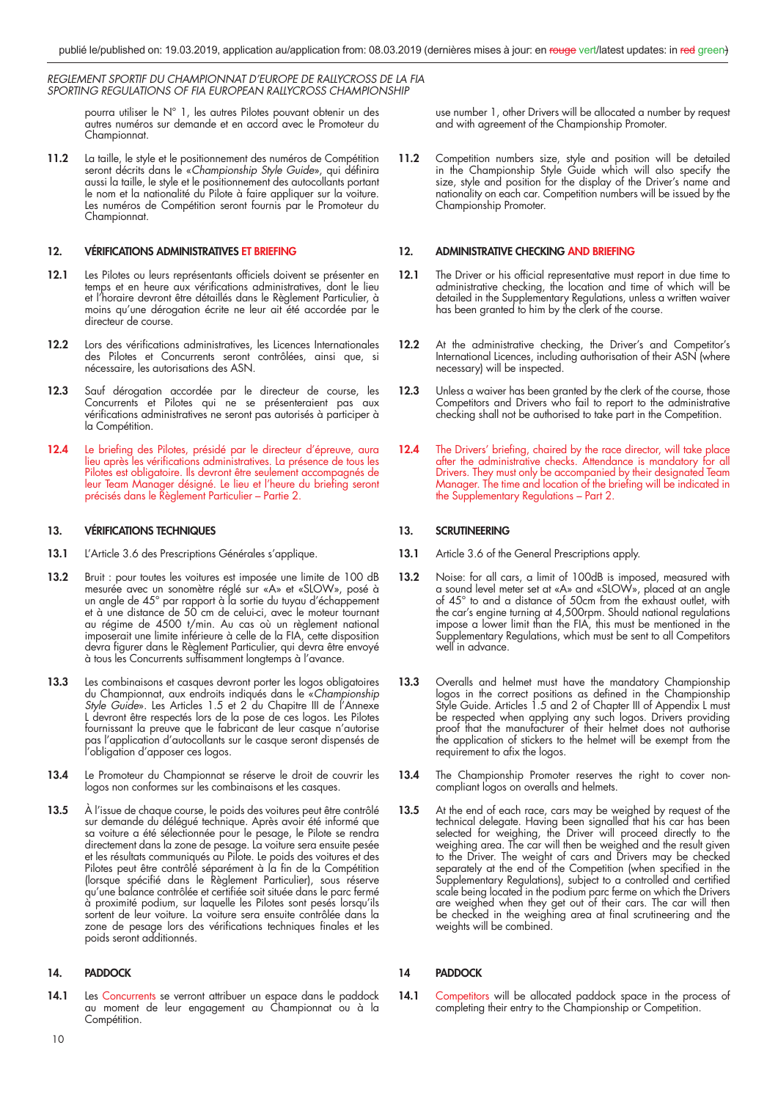> pourra utiliser le N° 1, les autres Pilotes pouvant obtenir un des autres numéros sur demande et en accord avec le Promoteur du Championnat.

**11.2** La taille, le style et le positionnement des numéros de Compétition seront décrits dans le «Championship Style Guide», qui définira aussi la taille, le style et le positionnement des autocollants portant le nom et la nationalité du Pilote à faire appliquer sur la voiture. Les numéros de Compétition seront fournis par le Promoteur du Championnat.

# **12. VÉRIFICATIONS ADMINISTRATIVES ET BRIEFING**

- 12.1 Les Pilotes ou leurs représentants officiels doivent se présenter en temps et en heure aux vérifications administratives, dont le lieu et l'horaire devront être détaillés dans le Règlement Particulier, à moins qu'une dérogation écrite ne leur ait été accordée par le directeur de course.
- **12.2** Lors des vérifications administratives, les Licences Internationales des Pilotes et Concurrents seront contrôlées, ainsi que, si nécessaire, les autorisations des ASN.
- **12.3** Sauf dérogation accordée par le directeur de course, les Concurrents et Pilotes qui ne se présenteraient pas aux vérifications administratives ne seront pas autorisés à participer à la Compétition.
- 12.4 Le briefing des Pilotes, présidé par le directeur d'épreuve, aura lieu après les vérifications administratives. La présence de tous les Pilotes est obligatoire. Ils devront être seulement accompagnés de leur Team Manager désigné. Le lieu et l'heure du briefing seront précisés dans le Règlement Particulier – Partie 2.

## **13. VÉRIFICATIONS TECHNIQUES**

- **13.1** L'Article 3.6 des Prescriptions Générales s'applique.
- 13.2 Bruit : pour toutes les voitures est imposée une limite de 100 dB mesurée avec un sonomètre réglé sur «A» et «SLOW», posé à un angle de 45° par rapport à la sortie du tuyau d'échappement et à une distance de 50 cm de celui-ci, avec le moteur tournant au régime de 4500 t/min. Au cas où un règlement national imposerait une limite inférieure à celle de la FIA, cette disposition devra figurer dans le Règlement Particulier, qui devra être envoyé à tous les Concurrents suffisamment longtemps à l'avance.
- **13.3** Les combinaisons et casques devront porter les logos obligatoires du Championnat, aux endroits indiqués dans le «Championship Style Guide». Les Articles 1.5 et 2 du Chapitre III de l'Annexe L devront être respectés lors de la pose de ces logos. Les Pilotes fournissant la preuve que le fabricant de leur casque n'autorise pas l'application d'autocollants sur le casque seront dispensés de l'obligation d'apposer ces logos.
- **13.4** Le Promoteur du Championnat se réserve le droit de couvrir les logos non conformes sur les combinaisons et les casques.
- 13.5 À l'issue de chaque course, le poids des voitures peut être contrôlé sur demande du délégué technique. Après avoir été informé que sa voiture a été sélectionnée pour le pesage, le Pilote se rendra directement dans la zone de pesage. La voiture sera ensuite pesée et les résultats communiqués au Pilote. Le poids des voitures et des Pilotes peut être contrôlé séparément à la fin de la Compétition (lorsque spécifié dans le Règlement Particulier), sous réserve qu'une balance contrôlée et certifiée soit située dans le parc fermé à proximité podium, sur laquelle les Pilotes sont pesés lorsqu'ils sortent de leur voiture. La voiture sera ensuite contrôlée dans la zone de pesage lors des vérifications techniques finales et les poids seront additionnés.

# **14. PADDOCK**

14.1 Les Concurrents se verront attribuer un espace dans le paddock au moment de leur engagement au Championnat ou à la Compétition.

use number 1, other Drivers will be allocated a number by request and with agreement of the Championship Promoter.

**11.2** Competition numbers size, style and position will be detailed in the Championship Style Guide which will also specify the size, style and position for the display of the Driver's name and nationality on each car. Competition numbers will be issued by the Championship Promoter.

# **12. ADMINISTRATIVE CHECKING AND BRIEFING**

- **12.1** The Driver or his official representative must report in due time to administrative checking, the location and time of which will be detailed in the Supplementary Regulations, unless a written waiver has been granted to him by the clerk of the course.
- **12.2** At the administrative checking, the Driver's and Competitor's International Licences, including authorisation of their ASN (where necessary) will be inspected.
- 12.3 Unless a waiver has been granted by the clerk of the course, those Competitors and Drivers who fail to report to the administrative checking shall not be authorised to take part in the Competition.
- **12.4** The Drivers' briefing, chaired by the race director, will take place after the administrative checks. Attendance is mandatory for all Drivers. They must only be accompanied by their designated Team Manager. The time and location of the briefing will be indicated in the Supplementary Regulations – Part 2.

### **13. SCRUTINEERING**

- 13.1 Article 3.6 of the General Prescriptions apply.
- **13.2** Noise: for all cars, a limit of 100dB is imposed, measured with a sound level meter set at «A» and «SLOW», placed at an angle of 45° to and a distance of 50cm from the exhaust outlet, with the car's engine turning at 4,500rpm. Should national regulations impose a lower limit than the FIA, this must be mentioned in the Supplementary Regulations, which must be sent to all Competitors well in advance.
- **13.3** Overalls and helmet must have the mandatory Championship logos in the correct positions as defined in the Championship Style Guide. Articles 1.5 and 2 of Chapter III of Appendix L must be respected when applying any such logos. Drivers providing proof that the manufacturer of their helmet does not authorise the application of stickers to the helmet will be exempt from the requirement to afix the logos.
- **13.4** The Championship Promoter reserves the right to cover noncompliant logos on overalls and helmets.
- **13.5** At the end of each race, cars may be weighed by request of the technical delegate. Having been signalled that his car has been selected for weighing, the Driver will proceed directly to the weighing area. The car will then be weighed and the result given to the Driver. The weight of cars and Drivers may be checked separately at the end of the Competition (when specified in the Supplementary Regulations), subject to a controlled and certified scale being located in the podium parc ferme on which the Drivers are weighed when they get out of their cars. The car will then be checked in the weighing area at final scrutineering and the weights will be combined.

# **14 PADDOCK**

14.1 Competitors will be allocated paddock space in the process of completing their entry to the Championship or Competition.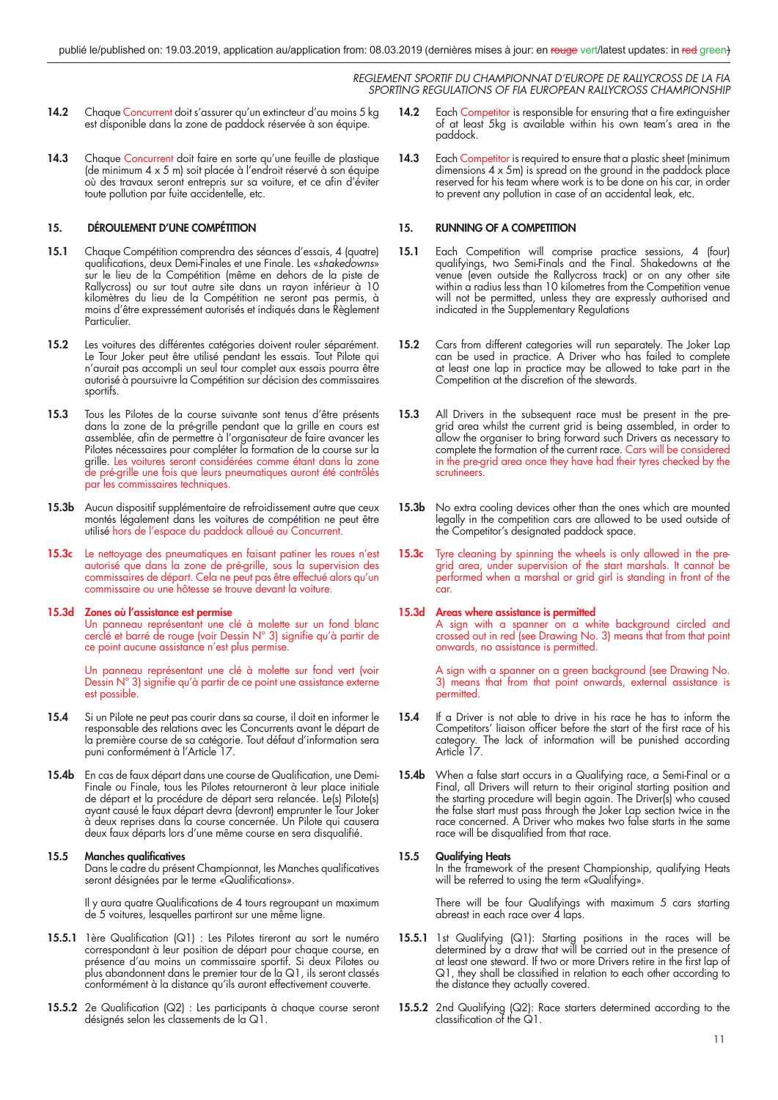- 14.2 Chaque Concurrent doit s'assurer qu'un extincteur d'au moins 5 kg est disponible dans la zone de paddock réservée à son équipe.
- 14.3 Chaque Concurrent doit faire en sorte qu'une feuille de plastique (de minimum 4 x 5 m) soit placée à l'endroit réservé à son équipe où des travaux seront entrepris sur sa voiture, et ce afin d'éviter toute pollution par fuite accidentelle, etc.

# **15. DÉROULEMENT D'UNE COMPÉTITION**

- **15.1** Chaque Compétition comprendra des séances d'essais, 4 (quatre) qualifications, deux Demi-Finales et une Finale. Les «*shakedowns*» sur le lieu de la Compétition (même en dehors de la piste de Rallycross) ou sur tout autre site dans un rayon inférieur à 10 kilomètres du lieu de la Compétition ne seront pas permis, à moins d'être expressément autorisés et indiqués dans le Règlement Particulier.
- **15.2** Les voitures des différentes catégories doivent rouler séparément. Le Tour Joker peut être utilisé pendant les essais. Tout Pilote qui n'aurait pas accompli un seul tour complet aux essais pourra être autorisé à poursuivre la Compétition sur décision des commissaires sportifs.
- **15.3** Tous les Pilotes de la course suivante sont tenus d'être présents dans la zone de la pré-grille pendant que la grille en cours est assemblée, afin de permettre à l'organisateur de faire avancer les Pilotes nécessaires pour compléter la formation de la course sur la grille. Les voitures seront considérées comme étant dans la zone de pré-grille une fois que leurs pneumatiques auront été contrôlés par les commissaires techniques.
- **15.3b** Aucun dispositif supplémentaire de refroidissement autre que ceux montés légalement dans les voitures de compétition ne peut être utilisé hors de l'espace du paddock alloué au Concurrent.
- **15.3c** Le nettoyage des pneumatiques en faisant patiner les roues n'est autorisé que dans la zone de pré-grille, sous la supervision des commissaires de départ. Cela ne peut pas être effectué alors qu'un commissaire ou une hôtesse se trouve devant la voiture.

#### **15.3d Zones où l'assistance est permise**

 Un panneau représentant une clé à molette sur un fond blanc cerclé et barré de rouge (voir Dessin N° 3) signifie qu'à partir de ce point aucune assistance n'est plus permise.

 Un panneau représentant une clé à molette sur fond vert (voir Dessin  $N^{\circ}$  3) signifie qu'à partir de ce point une assistance externe est possible.

- **15.4** Si un Pilote ne peut pas courir dans sa course, il doit en informer le responsable des relations avec les Concurrents avant le départ de la première course de sa catégorie. Tout défaut d'information sera puni conformément à l'Article 17.
- 15.4b En cas de faux départ dans une course de Qualification, une Demi-Finale ou Finale, tous les Pilotes retourneront à leur place initiale de départ et la procédure de départ sera relancée. Le(s) Pilote(s) ayant causé le faux départ devra (devront) emprunter le Tour Joker à deux reprises dans la course concernée. Un Pilote qui causera deux faux départs lors d'une même course en sera disqualifié.

#### **15.5 Manches qualificatives**

Dans le cadre du présent Championnat, les Manches qualificatives seront désignées par le terme «Qualifications».

Il y aura quatre Qualifications de 4 tours regroupant un maximum de 5 voitures, lesquelles partiront sur une même ligne.

- **15.5.1** 1ère Qualification (Q1) : Les Pilotes tireront au sort le numéro correspondant à leur position de départ pour chaque course, en présence d'au moins un commissaire sportif. Si deux Pilotes ou plus abandonnent dans le premier tour de la Q1, ils seront classés conformément à la distance qu'ils auront effectivement couverte.
- **15.5.2** 2e Qualification (Q2) : Les participants à chaque course seront désignés selon les classements de la Q1.
- **14.2** Each Competitor is responsible for ensuring that a fire extinguisher of at least 5kg is available within his own team's area in the paddock.
- 14.3 Each Competitor is required to ensure that a plastic sheet (minimum dimensions 4 x 5m) is spread on the ground in the paddock place reserved for his team where work is to be done on his car, in order to prevent any pollution in case of an accidental leak, etc.

# **15. RUNNING OF A COMPETITION**

- **15.1** Each Competition will comprise practice sessions, 4 (four) qualifyings, two Semi-Finals and the Final. Shakedowns at the venue (even outside the Rallycross track) or on any other site within a radius less than 10 kilometres from the Competition venue will not be permitted, unless they are expressly authorised and indicated in the Supplementary Regulations
- **15.2** Cars from different categories will run separately. The Joker Lap can be used in practice. A Driver who has failed to complete at least one lap in practice may be allowed to take part in the Competition at the discretion of the stewards.
- 15.3 All Drivers in the subsequent race must be present in the pregrid area whilst the current grid is being assembled, in order to allow the organiser to bring forward such Drivers as necessary to complete the formation of the current race. Cars will be considered in the pre-grid area once they have had their tyres checked by the scrutineers.
- 15.3b No extra cooling devices other than the ones which are mounted legally in the competition cars are allowed to be used outside of the Competitor's designated paddock space.
- **15.3c** Tyre cleaning by spinning the wheels is only allowed in the pregrid area, under supervision of the start marshals. It cannot be performed when a marshal or grid girl is standing in front of the car.

#### **15.3d Areas where assistance is permitted**

 A sign with a spanner on a white background circled and crossed out in red (see Drawing No. 3) means that from that point onwards, no assistance is permitted.

 A sign with a spanner on a green background (see Drawing No. 3) means that from that point onwards, external assistance is permitted.

- **15.4** If a Driver is not able to drive in his race he has to inform the Competitors' liaison officer before the start of the first race of his category. The lack of information will be punished according Article 17.
- **15.4b** When a false start occurs in a Qualifying race, a Semi-Final or a Final, all Drivers will return to their original starting position and the starting procedure will begin again. The Driver(s) who caused the false start must pass through the Joker Lap section twice in the race concerned. A Driver who makes two false starts in the same race will be disqualified from that race.

#### **15.5 Qualifying Heats**

 In the framework of the present Championship, qualifying Heats will be referred to using the term «Qualifying».

 There will be four Qualifyings with maximum 5 cars starting abreast in each race over 4 laps.

- **15.5.1** 1st Qualifying (Q1): Starting positions in the races will be determined by a draw that will be carried out in the presence of at least one steward. If two or more Drivers retire in the first lap of Q1, they shall be classified in relation to each other according to the distance they actually covered.
- **15.5.2** 2nd Qualifying (Q2): Race starters determined according to the classification of the  $Q1$ .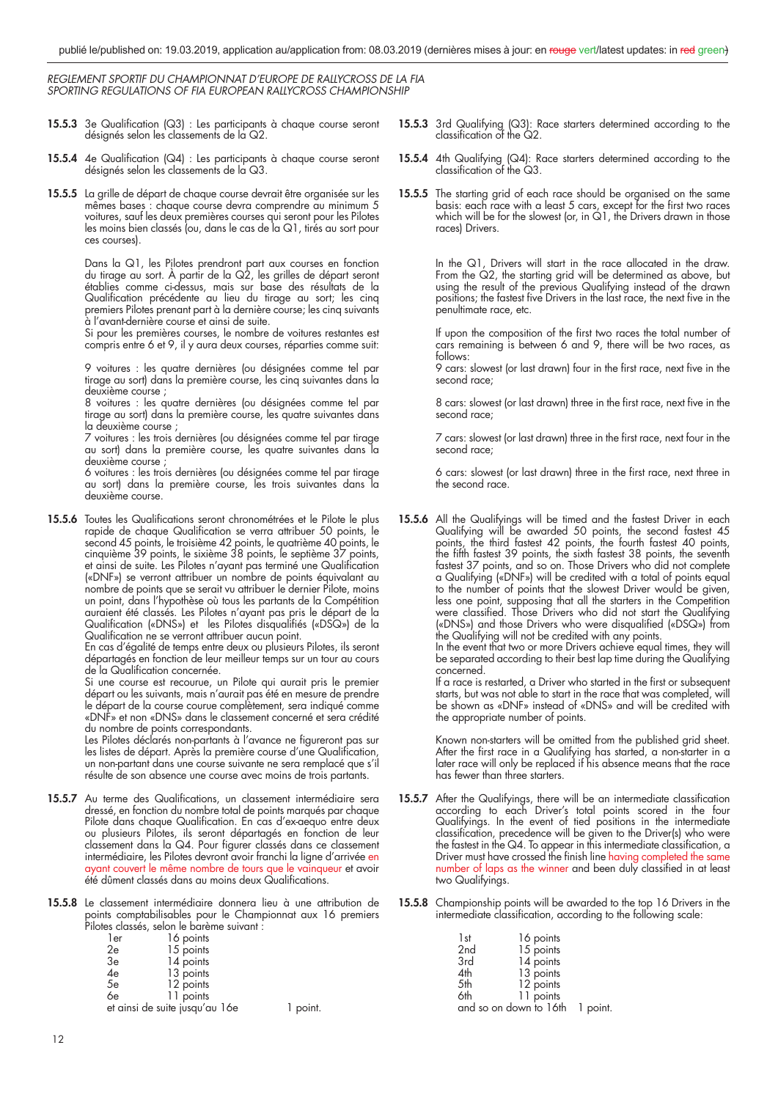- **15.5.3** 3e Qualification (Q3) : Les participants à chaque course seront désignés selon les classements de la Q2.
- **15.5.4** 4e Qualification (Q4) : Les participants à chaque course seront désignés selon les classements de la Q3.
- **15.5.5** La grille de départ de chaque course devrait être organisée sur les mêmes bases : chaque course devra comprendre au minimum 5 voitures, sauf les deux premières courses qui seront pour les Pilotes les moins bien classés (ou, dans le cas de la Q1, tirés au sort pour ces courses).

 Dans la Q1, les Pilotes prendront part aux courses en fonction du tirage au sort. À partir de la Q2, les grilles de départ seront établies comme ci-dessus, mais sur base des résultats de la Qualification précédente au lieu du tirage au sort; les cinq premiers Pilotes prenant part à la dernière course; les cinq suivants à l'avant-dernière course et ainsi de suite.

 Si pour les premières courses, le nombre de voitures restantes est compris entre 6 et 9, il y aura deux courses, réparties comme suit:

 9 voitures : les quatre dernières (ou désignées comme tel par tirage au sort) dans la première course, les cinq suivantes dans la deuxième course ;

 8 voitures : les quatre dernières (ou désignées comme tel par tirage au sort) dans la première course, les quatre suivantes dans la deuxième course ;

 7 voitures : les trois dernières (ou désignées comme tel par tirage au sort) dans la première course, les quatre suivantes dans la deuxième course ;

 6 voitures : les trois dernières (ou désignées comme tel par tirage au sort) dans la première course, les trois suivantes dans la deuxième course.

**15.5.6** Toutes les Qualifications seront chronométrées et le Pilote le plus rapide de chaque Qualification se verra attribuer 50 points, le second 45 points, le troisième 42 points, le quatrième 40 points, le cinquième 39 points, le sixième 38 points, le septième 37 points, et ainsi de suite. Les Pilotes n'ayant pas terminé une Qualification («DNF») se verront attribuer un nombre de points équivalant au nombre de points que se serait vu attribuer le dernier Pilote, moins un point, dans l'hypothèse où tous les partants de la Compétition auraient été classés. Les Pilotes n'ayant pas pris le départ de la Qualification («DNS») et les Pilotes disqualifiés («DSQ») de la Qualification ne se verront attribuer aucun point.

 En cas d'égalité de temps entre deux ou plusieurs Pilotes, ils seront départagés en fonction de leur meilleur temps sur un tour au cours de la Qualification concernée.

 Si une course est recourue, un Pilote qui aurait pris le premier départ ou les suivants, mais n'aurait pas été en mesure de prendre le départ de la course courue complètement, sera indiqué comme «DNF» et non «DNS» dans le classement concerné et sera crédité du nombre de points correspondants.

Les Pilotes déclarés non-partants à l'avance ne figureront pas sur les listes de départ. Après la première course d'une Qualification, un non-partant dans une course suivante ne sera remplacé que s'il résulte de son absence une course avec moins de trois partants.

- 15.5.7 Au terme des Qualifications, un classement intermédiaire sera dressé, en fonction du nombre total de points marqués par chaque Pilote dans chaque Qualification. En cas d'ex-aequo entre deux ou plusieurs Pilotes, ils seront départagés en fonction de leur classement dans la Q4. Pour figurer classés dans ce classement intermédiaire, les Pilotes devront avoir franchi la ligne d'arrivée en ayant couvert le même nombre de tours que le vainqueur et avoir été dûment classés dans au moins deux Qualifications.
- **15.5.8** Le classement intermédiaire donnera lieu à une attribution de points comptabilisables pour le Championnat aux 16 premiers Pilotes classés, selon le barème suivant :

|    | 1er                            | 16 points |        |
|----|--------------------------------|-----------|--------|
| 2e |                                | 15 points |        |
| 3e |                                | 14 points |        |
| 4e |                                | 13 points |        |
| 5e |                                | 12 points |        |
| 6e |                                | 11 points |        |
|    | et ainsi de suite jusqu'au 16e |           | point. |

**15.5.3** 3rd Qualifying (Q3): Race starters determined according to the classification of the  $Q2$ .

- **15.5.4** 4th Qualifying (Q4): Race starters determined according to the classification of the  $Q3$ .
- **15.5.5** The starting grid of each race should be organised on the same basis: each race with a least 5 cars, except for the first two races which will be for the slowest (or, in Q1, the Drivers drawn in those races) Drivers.

 In the Q1, Drivers will start in the race allocated in the draw. From the Q2, the starting grid will be determined as above, but using the result of the previous Qualifying instead of the drawn positions; the fastest five Drivers in the last race, the next five in the penultimate race, etc.

If upon the composition of the first two races the total number of cars remaining is between 6 and 9, there will be two races, as follows:

9 cars: slowest (or last drawn) four in the first race, next five in the second race;

8 cars: slowest (or last drawn) three in the first race, next five in the second race;

7 cars: slowest (or last drawn) three in the first race, next four in the second race;

6 cars: slowest (or last drawn) three in the first race, next three in the second race.

**15.5.6** All the Qualifyings will be timed and the fastest Driver in each Qualifying will be awarded 50 points, the second fastest 45 points, the third fastest 42 points, the fourth fastest 40 points, the fifth fastest 39 points, the sixth fastest 38 points, the seventh fastest 37 points, and so on. Those Drivers who did not complete a Qualifying («DNF») will be credited with a total of points equal to the number of points that the slowest Driver would be given, less one point, supposing that all the starters in the Competition were classified. Those Drivers who did not start the Qualifying («DNS») and those Drivers who were disqualified («DSQ») from the Qualifying will not be credited with any points.

 In the event that two or more Drivers achieve equal times, they will be separated according to their best lap time during the Qualifying concerned.

If a race is restarted, a Driver who started in the first or subsequent starts, but was not able to start in the race that was completed, will be shown as «DNF» instead of «DNS» and will be credited with the appropriate number of points.

 Known non-starters will be omitted from the published grid sheet. After the first race in a Qualifying has started, a non-starter in a later race will only be replaced if his absence means that the race has fewer than three starters.

- **15.5.7** After the Qualifyings, there will be an intermediate classification according to each Driver's total points scored in the four Qualifyings. In the event of tied positions in the intermediate classification, precedence will be given to the Driver(s) who were the fastest in the  $\Omega$ 4. To appear in this intermediate classification, a Driver must have crossed the finish line having completed the same number of laps as the winner and been duly classified in at least two Qualifyings.
- **15.5.8** Championship points will be awarded to the top 16 Drivers in the intermediate classification, according to the following scale:

| 1st                             | 16 points |  |
|---------------------------------|-----------|--|
| 2 <sub>nd</sub>                 | 15 points |  |
| 3rd                             | 14 points |  |
| 4th                             | 13 points |  |
| 5th                             | 12 points |  |
| 6th                             | 11 points |  |
| and so on down to 16th 1 point. |           |  |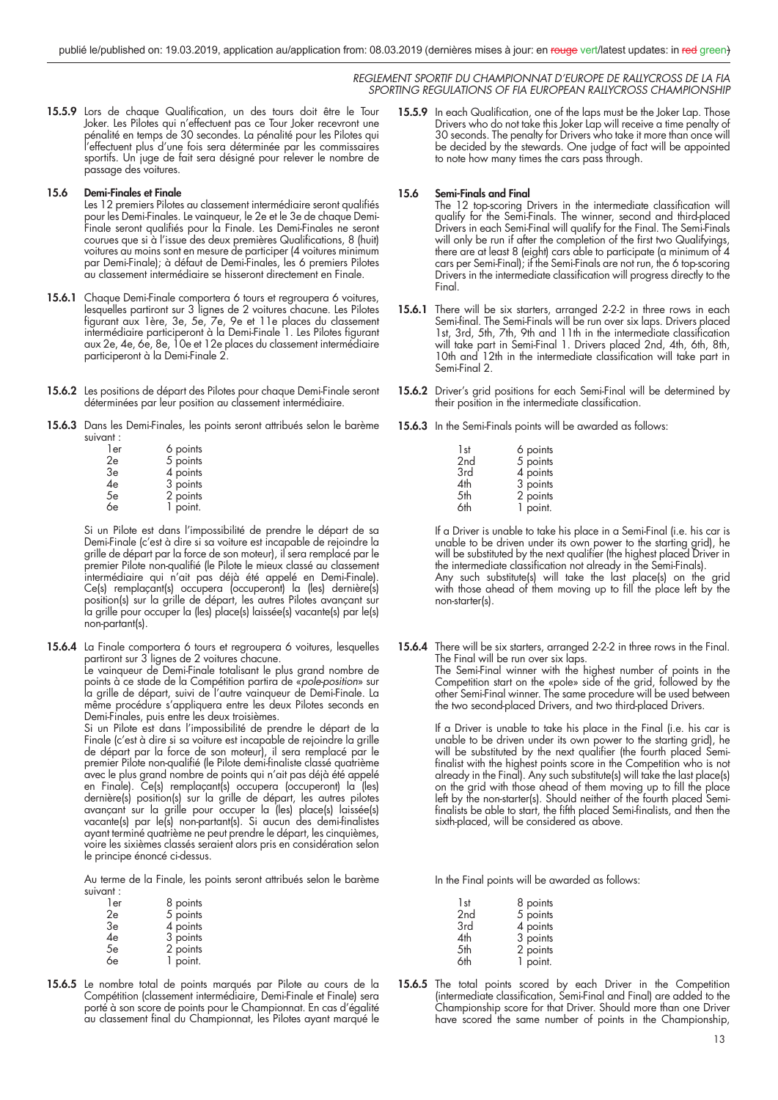15.5.9 Lors de chaque Qualification, un des tours doit être le Tour Joker. Les Pilotes qui n'effectuent pas ce Tour Joker recevront une pénalité en temps de 30 secondes. La pénalité pour les Pilotes qui l'effectuent plus d'une fois sera déterminée par les commissaires sportifs. Un juge de fait sera désigné pour relever le nombre de passage des voitures.

# **15.6 Demi-Finales et Finale**

Les 12 premiers Pilotes au classement intermédiaire seront qualifiés pour les Demi-Finales. Le vainqueur, le 2e et le 3e de chaque Demi-Finale seront qualifiés pour la Finale. Les Demi-Finales ne seront courues que si à l'issue des deux premières Qualifications, 8 (huit) voitures au moins sont en mesure de participer (4 voitures minimum par Demi-Finale); à défaut de Demi-Finales, les 6 premiers Pilotes au classement intermédiaire se hisseront directement en Finale.

- **15.6.1** Chaque Demi-Finale comportera 6 tours et regroupera 6 voitures, lesquelles partiront sur 3 lignes de 2 voitures chacune. Les Pilotes fi gurant aux 1ère, 3e, 5e, 7e, 9e et 11e places du classement intermédiaire participeront à la Demi-Finale 1. Les Pilotes figurant aux 2e, 4e, 6e, 8e, 10e et 12e places du classement intermédiaire participeront à la Demi-Finale 2.
- **15.6.2** Les positions de départ des Pilotes pour chaque Demi-Finale seront déterminées par leur position au classement intermédiaire.
- **15.6.3** Dans les Demi-Finales, les points seront attribués selon le barème suivant :

| 1er | 6 points |
|-----|----------|
| 2e  | 5 points |
| 3e  | 4 points |
| 4e  | 3 points |
| 5e  | 2 points |
| 6e  | 1 point. |

 Si un Pilote est dans l'impossibilité de prendre le départ de sa Demi-Finale (c'est à dire si sa voiture est incapable de rejoindre la grille de départ par la force de son moteur), il sera remplacé par le premier Pilote non-qualifié (le Pilote le mieux classé au classement intermédiaire qui n'ait pas déjà été appelé en Demi-Finale). Ce(s) remplaçant(s) occupera (occuperont) la (les) dernière(s) position(s) sur la grille de départ, les autres Pilotes avançant sur la grille pour occuper la (les) place(s) laissée(s) vacante(s) par le(s) non-partant(s).

**15.6.4** La Finale comportera 6 tours et regroupera 6 voitures, lesquelles partiront sur 3 lignes de 2 voitures chacune. Le vainqueur de Demi-Finale totalisant le plus grand nombre de

points à ce stade de la Compétition partira de «pole-position» sur la grille de départ, suivi de l'autre vainqueur de Demi-Finale. La même procédure s'appliquera entre les deux Pilotes seconds en Demi-Finales, puis entre les deux troisièmes.

 Si un Pilote est dans l'impossibilité de prendre le départ de la Finale (c'est à dire si sa voiture est incapable de rejoindre la grille de départ par la force de son moteur), il sera remplacé par le premier Pilote non-qualifié (le Pilote demi-finaliste classé quatrième avec le plus grand nombre de points qui n'ait pas déjà été appelé en Finale). Ce(s) remplaçant(s) occupera (occuperont) la (les) dernière(s) position(s) sur la grille de départ, les autres pilotes avançant sur la grille pour occuper la (les) place(s) laissée(s) vacante(s) par le(s) non-partant(s). Si aucun des demi-finalistes ayant terminé quatrième ne peut prendre le départ, les cinquièmes, voire les sixièmes classés seraient alors pris en considération selon le principe énoncé ci-dessus.

 Au terme de la Finale, les points seront attribués selon le barème suivant :

| 1er | 8 points |
|-----|----------|
| 2e  | 5 points |
| 3e  | 4 points |
| 4e  | 3 points |
| 5e  | 2 points |
| 6e  | 1 point. |

**15.6.5** Le nombre total de points marqués par Pilote au cours de la Compétition (classement intermédiaire, Demi-Finale et Finale) sera porté à son score de points pour le Championnat. En cas d'égalité au classement final du Championnat, les Pilotes ayant marqué le **15.5.9** In each Qualification, one of the laps must be the Joker Lap. Those Drivers who do not take this Joker Lap will receive a time penalty of 30 seconds. The penalty for Drivers who take it more than once will be decided by the stewards. One judge of fact will be appointed to note how many times the cars pass through.

# **15.6 Semi-Finals and Final**

The 12 top-scoring Drivers in the intermediate classification will qualify for the Semi-Finals. The winner, second and third-placed Drivers in each Semi-Final will qualify for the Final. The Semi-Finals will only be run if after the completion of the first two Qualifyings, there are at least 8 (eight) cars able to participate (a minimum of 4 cars per Semi-Final); if the Semi-Finals are not run, the 6 top-scoring Drivers in the intermediate classification will progress directly to the Final.

- **15.6.1** There will be six starters, arranged 2-2-2 in three rows in each Semi-final. The Semi-Finals will be run over six laps. Drivers placed 1st, 3rd, 5th, 7th, 9th and 11th in the intermediate classification will take part in Semi-Final 1. Drivers placed 2nd, 4th, 6th, 8th, 10th and 12th in the intermediate classification will take part in Semi-Final 2.
- 15.6.2 Driver's grid positions for each Semi-Final will be determined by their position in the intermediate classification.
- **15.6.3** In the Semi-Finals points will be awarded as follows:

| 1st | 6 points |
|-----|----------|
| 2nd | 5 points |
| 3rd | 4 points |
| 4th | 3 points |
| 5th | 2 points |
| 6th | 1 point. |

 If a Driver is unable to take his place in a Semi-Final (i.e. his car is unable to be driven under its own power to the starting grid), he will be substituted by the next qualifier (the highest placed Driver in the intermediate classification not already in the Semi-Finals). Any such substitute(s) will take the last place(s) on the grid with those ahead of them moving up to fill the place left by the non-starter(s).

**15.6.4** There will be six starters, arranged 2-2-2 in three rows in the Final. The Final will be run over six laps. The Semi-Final winner with the highest number of points in the Competition start on the «pole» side of the grid, followed by the other Semi-Final winner. The same procedure will be used between the two second-placed Drivers, and two third-placed Drivers.

> If a Driver is unable to take his place in the Final (i.e. his car is unable to be driven under its own power to the starting grid), he will be substituted by the next qualifier (the fourth placed Semifinalist with the highest points score in the Competition who is not already in the Final). Any such substitute(s) will take the last place(s) on the grid with those ahead of them moving up to fill the place left by the non-starter(s). Should neither of the fourth placed Semifinalists be able to start, the fifth placed Semi-finalists, and then the sixth-placed, will be considered as above.

In the Final points will be awarded as follows:

| 8 points |
|----------|
| 5 points |
| 4 points |
| 3 points |
| 2 points |
| 1 point. |
|          |

15.6.5 The total points scored by each Driver in the Competition (intermediate classification, Semi-Final and Final) are added to the Championship score for that Driver. Should more than one Driver have scored the same number of points in the Championship,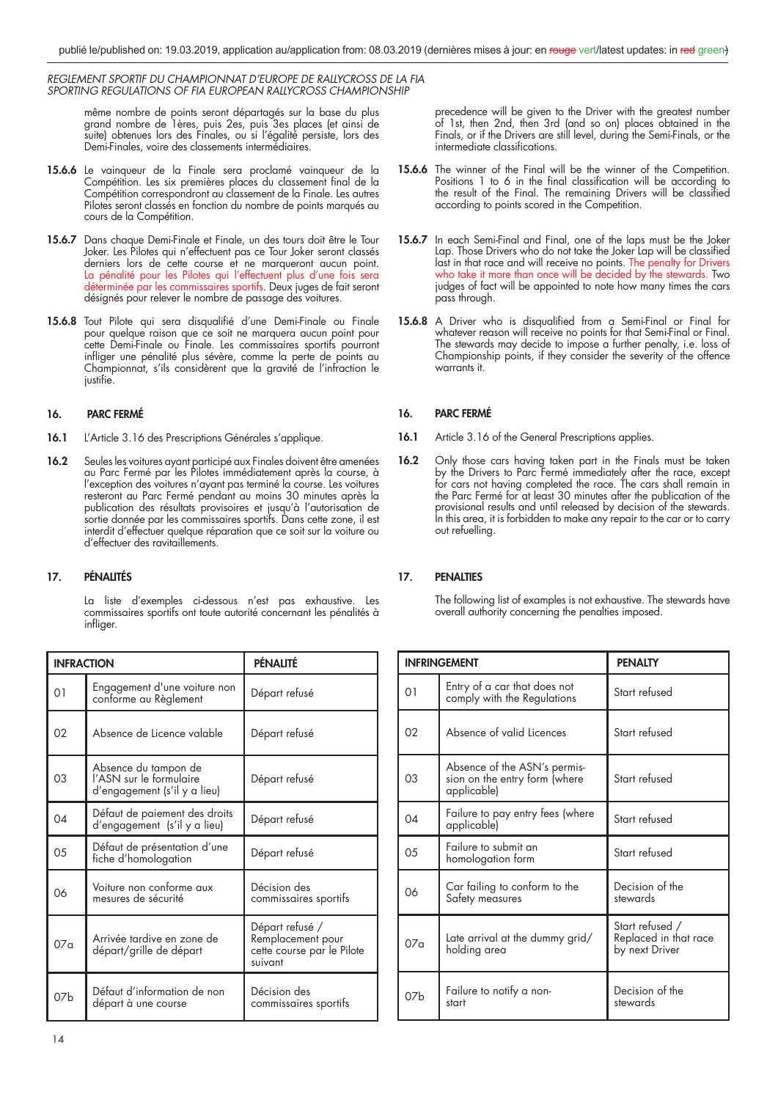même nombre de points seront départagés sur la base du plus grand nombre de 1ères, puis 2es, puis 3es places (et ainsi de suite) obtenues lors des Finales, ou si l'égalité persiste, lors des Demi-Finales, voire des classements intermédiaires.

- **15.6.6** Le vainqueur de la Finale sera proclamé vainqueur de la Compétition. Les six premières places du classement final de la Compétition correspondront au classement de la Finale. Les autres Pilotes seront classés en fonction du nombre de points marqués au cours de la Compétition.
- 15.6.7 Dans chaque Demi-Finale et Finale, un des tours doit être le Tour Joker. Les Pilotes qui n'effectuent pas ce Tour Joker seront classés derniers lors de cette course et ne marqueront aucun point. La pénalité pour les Pilotes qui l'effectuent plus d'une fois sera déterminée par les commissaires sportifs. Deux juges de fait seront désignés pour relever le nombre de passage des voitures.
- 15.6.8 Tout Pilote qui sera disqualifié d'une Demi-Finale ou Finale pour quelque raison que ce soit ne marquera aucun point pour cette Demi-Finale ou Finale. Les commissaires sportifs pourront infliger une pénalité plus sévère, comme la perte de points au Championnat, s'ils considèrent que la gravité de l'infraction le justifie.

# **16. PARC FERMÉ**

- 16.1 L'Article 3.16 des Prescriptions Générales s'applique.
- **16.2** Seules les voitures ayant participé aux Finales doivent être amenées au Parc Fermé par les Pilotes immédiatement après la course, à l'exception des voitures n'ayant pas terminé la course. Les voitures resteront au Parc Fermé pendant au moins 30 minutes après la publication des résultats provisoires et jusqu'à l'autorisation de sortie donnée par les commissaires sportifs. Dans cette zone, il est interdit d'effectuer quelque réparation que ce soit sur la voiture ou d'effectuer des ravitaillements.

# **17. PÉNALITÉS**

 La liste d'exemples ci-dessous n'est pas exhaustive. Les commissaires sportifs ont toute autorité concernant les pénalités à infliger.

| <b>INFRACTION</b> |                                                                                 | PÉNALITÉ                                                                      |
|-------------------|---------------------------------------------------------------------------------|-------------------------------------------------------------------------------|
| 01                | Engagement d'une voiture non<br>conforme au Règlement                           | Départ refusé                                                                 |
| 02                | Absence de Licence valable                                                      | Départ refusé                                                                 |
| 03                | Absence du tampon de<br>l'ASN sur le formulaire<br>d'engagement (s'il y a lieu) | Départ refusé                                                                 |
| 04                | Défaut de paiement des droits<br>d'engagement (s'il y a lieu)                   | Départ refusé                                                                 |
| 05                | Défaut de présentation d'une<br>fiche d'homologation                            | Départ refusé                                                                 |
| 06                | Voiture non conforme aux<br>mesures de sécurité                                 | Décision des<br>commissaires sportifs                                         |
| 07a               | Arrivée tardive en zone de<br>départ/grille de départ                           | Départ refusé /<br>Remplacement pour<br>cette course par le Pilote<br>suivant |
| 07h               | Défaut d'information de non<br>départ à une course                              | Décision des<br>commissaires sportifs                                         |

precedence will be given to the Driver with the greatest number of 1st, then 2nd, then 3rd (and so on) places obtained in the Finals, or if the Drivers are still level, during the Semi-Finals, or the intermediate classifications.

- **15.6.6** The winner of the Final will be the winner of the Competition. Positions 1 to 6 in the final classification will be according to the result of the Final. The remaining Drivers will be classified according to points scored in the Competition.
- **15.6.7** In each Semi-Final and Final, one of the laps must be the Joker Lap. Those Drivers who do not take the Joker Lap will be classified last in that race and will receive no points. The penalty for Drivers who take it more than once will be decided by the stewards. Two judges of fact will be appointed to note how many times the cars pass through.
- 15.6.8 A Driver who is disqualified from a Semi-Final or Final for whatever reason will receive no points for that Semi-Final or Final. The stewards may decide to impose a further penalty, i.e. loss of Championship points, if they consider the severity of the offence warrants it.

# **16. PARC FERMÉ**

- 16.1 Article 3.16 of the General Prescriptions applies.
- **16.2** Only those cars having taken part in the Finals must be taken by the Drivers to Parc Fermé immediately after the race, except for cars not having completed the race. The cars shall remain in the Parc Fermé for at least 30 minutes after the publication of the provisional results and until released by decision of the stewards. In this area, it is forbidden to make any repair to the car or to carry out refuelling.

# **17. PENALTIES**

 The following list of examples is not exhaustive. The stewards have overall authority concerning the penalties imposed.

| <b>INFRINGEMENT</b> |                                                                              | <b>PENALTY</b>                                             |
|---------------------|------------------------------------------------------------------------------|------------------------------------------------------------|
| O <sub>1</sub>      | Entry of a car that does not<br>comply with the Regulations                  | Start refused                                              |
| 02                  | Absence of valid Licences                                                    | Start refused                                              |
| 03                  | Absence of the ASN's permis-<br>sion on the entry form (where<br>applicable) | Start refused                                              |
| 04                  | Failure to pay entry fees (where<br>applicable)                              | Start refused                                              |
| 05                  | Failure to submit an<br>homologation form                                    | Start refused                                              |
| 06                  | Car failing to conform to the<br>Safety measures                             | Decision of the<br>stewards                                |
| 07a                 | Late arrival at the dummy grid/<br>holding area                              | Start refused /<br>Replaced in that race<br>by next Driver |
| 07 <sub>b</sub>     | Failure to notify a non-<br>start                                            | Decision of the<br>stewards                                |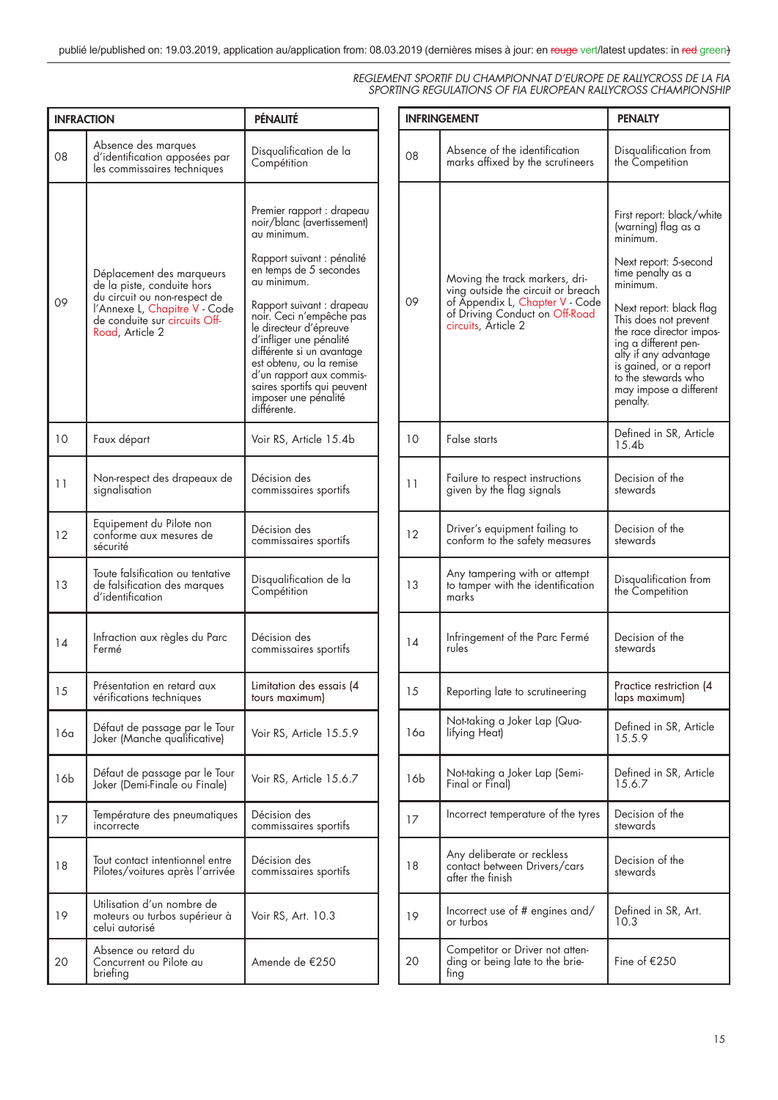| <b>INFRACTION</b> |                                                                                                                                                                              | PÉNALITÉ                                                                                                                                                                                                                                                                                                                                                                                                               |
|-------------------|------------------------------------------------------------------------------------------------------------------------------------------------------------------------------|------------------------------------------------------------------------------------------------------------------------------------------------------------------------------------------------------------------------------------------------------------------------------------------------------------------------------------------------------------------------------------------------------------------------|
| 08                | Absence des marques<br>d'identification apposées par<br>les commissaires techniques                                                                                          | Disqualification de la<br>Compétition                                                                                                                                                                                                                                                                                                                                                                                  |
| 09                | Déplacement des marqueurs<br>de la piste, conduite hors<br>du circuit ou non-respect de<br>l'Annexe L, Chapitre V - Code<br>de conduite sur circuits Off-<br>Road, Article 2 | Premier rapport : drapeau<br>noir/blanc (avertissement)<br>au minimum.<br>Rapport suivant : pénalité<br>en temps de 5 secondes<br>au minimum.<br>Rapport suivant : drapeau<br>noir. Ceci n'empêche pas<br>le directeur d'épreuve<br>d'infliger une pénalité<br>différente si un avantage<br>est obtenu, ou la remise<br>d'un rapport aux commis-<br>saires sportifs qui peuvent<br>imposer une pénalité<br>différente. |
| 10                | Faux départ                                                                                                                                                                  | Voir RS, Article 15.4b                                                                                                                                                                                                                                                                                                                                                                                                 |
| 11                | Non-respect des drapeaux de<br>signalisation                                                                                                                                 | Décision des<br>commissaires sportifs                                                                                                                                                                                                                                                                                                                                                                                  |
| 12                | Equipement du Pilote non<br>conforme aux mesures de<br>sécurité                                                                                                              | Décision des<br>commissaires sportifs                                                                                                                                                                                                                                                                                                                                                                                  |
| 13                | Toute falsification ou tentative<br>de talsitication des marques<br>d′identification                                                                                         | Disqualification de la<br>Compétition                                                                                                                                                                                                                                                                                                                                                                                  |
| 14                | Infraction aux règles du Parc<br>Fermé                                                                                                                                       | Décision des<br>commissaires sportifs                                                                                                                                                                                                                                                                                                                                                                                  |
| 15                | Présentation en retard aux<br>vérifications techniques                                                                                                                       | Limitation des essais (4<br>fours maximum)                                                                                                                                                                                                                                                                                                                                                                             |
| 16a               | Défaut de passage par le Tour<br>Joker (Manche qualificative)                                                                                                                | Voir RS, Article 15.5.9                                                                                                                                                                                                                                                                                                                                                                                                |
| 16b               | Défaut de passage par le Tour<br>Joker (Demi-Finale ou Finale)                                                                                                               | Voir RS, Article 15.6.7                                                                                                                                                                                                                                                                                                                                                                                                |
| 17                | Température des pneumatiques<br>incorrecte                                                                                                                                   | Décision des<br>commissaires sportifs                                                                                                                                                                                                                                                                                                                                                                                  |
| 18                | Tout contact intentionnel entre<br>Pilotes/voitures après l'arrivée                                                                                                          | Décision des<br>commissaires sportifs                                                                                                                                                                                                                                                                                                                                                                                  |
| 19                | Utilisation d'un nombre de<br>moteurs ou turbos supérieur à<br>celui autorisé                                                                                                | Voir RS, Art. 10.3                                                                                                                                                                                                                                                                                                                                                                                                     |
| 20                | Absence ou retard du<br>Concurrent ou Pilote au<br>briefing                                                                                                                  | Amende de €250                                                                                                                                                                                                                                                                                                                                                                                                         |

| <b>INFRINGEMENT</b> |                                                                                                                                                                  | <b>PENALTY</b>                                                                                                                                                                                                                                                                                                                                 |
|---------------------|------------------------------------------------------------------------------------------------------------------------------------------------------------------|------------------------------------------------------------------------------------------------------------------------------------------------------------------------------------------------------------------------------------------------------------------------------------------------------------------------------------------------|
| 08                  | Absence of the identification<br>marks affixed by the scrutineers                                                                                                | Disqualification from<br>the Competition                                                                                                                                                                                                                                                                                                       |
| 09                  | Moving the track markers, dri-<br>ving outside the circuit or breach<br>of Appendix L, Chapter V - Code<br>of Driving Conduct on Off-Road<br>circuits, Article 2 | First report: black/white<br>(warning) flag as a<br>minimum.<br>Next report: 5-second<br>time penalty as a<br>minimum.<br>Next report: black flag<br>This does not prevent<br>the race director impos-<br>ing a different pen-<br>alty if any advantage<br>is gained, or a report<br>to the stewards who<br>may impose a different<br>penalty. |
| 10                  | False starts                                                                                                                                                     | Defined in SR, Article<br>15.4b                                                                                                                                                                                                                                                                                                                |
| 11                  | Failure to respect instructions<br>given by the flag signals                                                                                                     | Decision of the<br>stewards                                                                                                                                                                                                                                                                                                                    |
| 12                  | Driver's equipment failing to<br>conform to the safety measures                                                                                                  | Decision of the<br>stewards                                                                                                                                                                                                                                                                                                                    |
| 13                  | Any tampering with or attempt<br>to tamper with the identification<br>marks                                                                                      | Disqualification from<br>the Competition                                                                                                                                                                                                                                                                                                       |
| 14                  | Infringement of the Parc Fermé<br>rules                                                                                                                          | Decision of the<br>stewards                                                                                                                                                                                                                                                                                                                    |
| 15                  | Reporting late to scrutineering                                                                                                                                  | Practice restriction (4<br>laps maximum)                                                                                                                                                                                                                                                                                                       |
| 16a                 | Not-taking a Joker Lap (Qua-<br>lifying Heat)                                                                                                                    | Defined in SR, Article<br>15.5.9                                                                                                                                                                                                                                                                                                               |
| 16b                 | Not-taking a Joker Lap (Semi-<br>Final or Final)                                                                                                                 | Defined in SR, Article<br>15.6.7                                                                                                                                                                                                                                                                                                               |
| 17                  | Incorrect temperature of the tyres                                                                                                                               | Decision of the<br>stewards                                                                                                                                                                                                                                                                                                                    |
| 18                  | Any deliberate or reckless<br>contact between Drivers/cars<br>after the finish                                                                                   | Decision of the<br>stewards                                                                                                                                                                                                                                                                                                                    |
| 19                  | Incorrect use of # engines and/<br>or turbos                                                                                                                     | Defined in SR, Art.<br>10.3                                                                                                                                                                                                                                                                                                                    |
| 20                  | Competitor or Driver not atten-<br>ding or being late to the brie-<br>fing                                                                                       | Fine of €250                                                                                                                                                                                                                                                                                                                                   |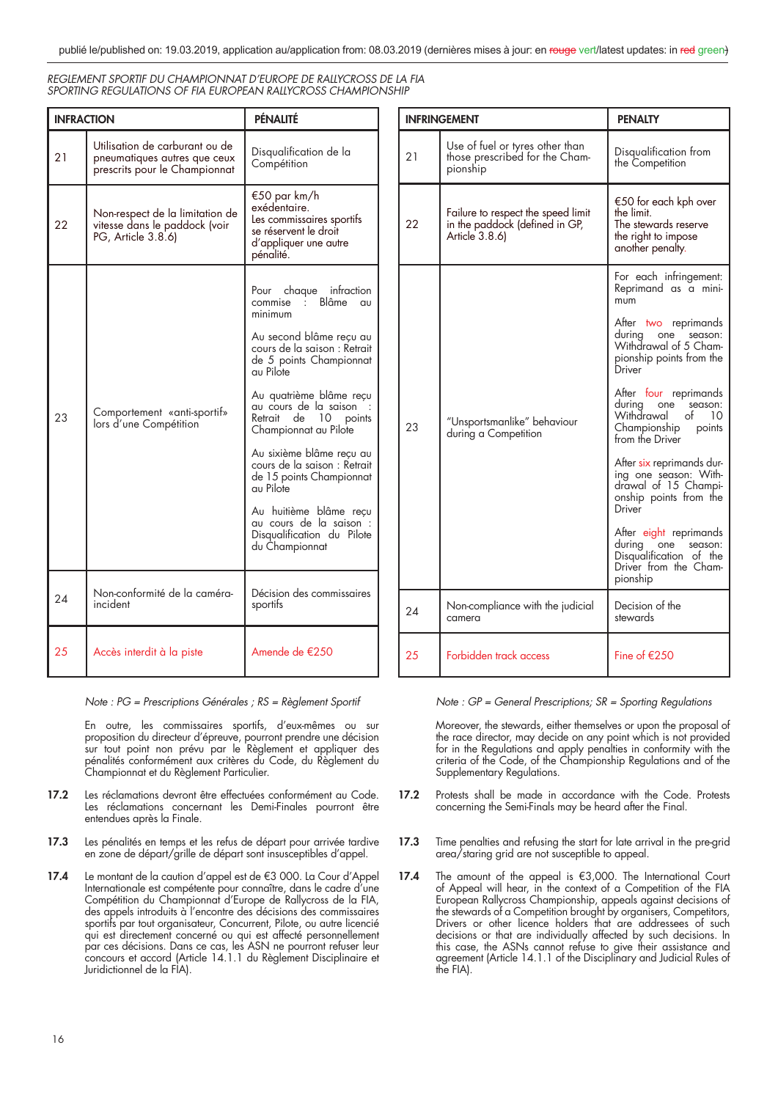| REGLEMENT SPORTIF DU CHAMPIONNAT D'EUROPE DE RALLYCROSS DE LA FIA |
|-------------------------------------------------------------------|
| SPORTING REGULATIONS OF FIA EUROPEAN RALLYCROSS CHAMPIONSHIP      |

| <b>INFRACTION</b> |                                                                                                 | PÉNALITÉ                                                                                                                                                                                                                                                                                                                                                                                                                                                                  |
|-------------------|-------------------------------------------------------------------------------------------------|---------------------------------------------------------------------------------------------------------------------------------------------------------------------------------------------------------------------------------------------------------------------------------------------------------------------------------------------------------------------------------------------------------------------------------------------------------------------------|
| 21                | Utilisation de carburant ou de<br>pneumatiques autres que ceux<br>prescrits pour le Championnat | Disqualification de la<br>Compétition                                                                                                                                                                                                                                                                                                                                                                                                                                     |
| 22                | Non-respect de la limitation de<br>vitesse dans le paddock (voir<br>PG, Article 3.8.6)          | €50 par km/h<br>exédentaire.<br>Les commissaires sportifs<br>se réservent le droit<br>d'appliquer une autre<br>pénalité.                                                                                                                                                                                                                                                                                                                                                  |
| 23                | Comportement «anti-sportif»<br>lors d'une Compétition                                           | Pour chaque infraction<br>commise : Blâme au<br>minimum<br>Au second blâme recu au<br>cours de la saison : Retrait<br>de 5 points Championnat<br>au Pilote<br>Au quatrième blâme reçu<br>au cours de la saison<br>Retrait de 10 points<br>Championnat au Pilote<br>Au sixième blâme recu au<br>cours de la saison : Retrait<br>de 15 points Championnat<br>au Pilote<br>Au huitième blâme recu<br>au cours de la saison :<br>Disqualification du Pilote<br>du Championnat |
| 24                | Non-conformité de la caméra-<br>incident                                                        | Décision des commissaires<br>sportifs                                                                                                                                                                                                                                                                                                                                                                                                                                     |
| 25                | Accès interdit à la piste                                                                       | Amende de €250                                                                                                                                                                                                                                                                                                                                                                                                                                                            |

Note : PG = Prescriptions Générales ; RS = Règlement Sportif

 En outre, les commissaires sportifs, d'eux-mêmes ou sur proposition du directeur d'épreuve, pourront prendre une décision sur tout point non prévu par le Règlement et appliquer des pénalités conformément aux critères du Code, du Règlement du Championnat et du Règlement Particulier.

- **17.2** Les réclamations devront être effectuées conformément au Code. Les réclamations concernant les Demi-Finales pourront être entendues après la Finale.
- **17.3** Les pénalités en temps et les refus de départ pour arrivée tardive en zone de départ/grille de départ sont insusceptibles d'appel.
- **17.4** Le montant de la caution d'appel est de €3 000. La Cour d'Appel Internationale est compétente pour connaître, dans le cadre d'une Compétition du Championnat d'Europe de Rallycross de la FIA, des appels introduits à l'encontre des décisions des commissaires sportifs par tout organisateur, Concurrent, Pilote, ou autre licencié qui est directement concerné ou qui est affecté personnellement par ces décisions. Dans ce cas, les ASN ne pourront refuser leur concours et accord (Article 14.1.1 du Règlement Disciplinaire et Juridictionnel de la FIA).

| <b>INFRINGEMENT</b> |                                                                                        | <b>PENALTY</b>                                                                                                           |
|---------------------|----------------------------------------------------------------------------------------|--------------------------------------------------------------------------------------------------------------------------|
| 21                  | Use of fuel or tyres other than<br>those prescribed for the Cham-<br>pionship          | Disqualification from<br>the Competition                                                                                 |
| 22                  | Failure to respect the speed limit<br>in the paddock (defined in GP,<br>Article 3.8.6) | €50 for each kph over<br>the limit.<br>The stewards reserve<br>the right to impose<br>another penalty.                   |
| 23                  | "Unsportsmanlike" behaviour<br>during a Competition                                    | For each infringement:<br>Reprimand as a mini-<br>mum                                                                    |
|                     |                                                                                        | After two reprimands<br>during<br>season:<br>one<br>Withdrawal of 5 Cham-<br>pionship points from the<br>Driver          |
|                     |                                                                                        | After four reprimands<br>during<br>season:<br>one<br>Withdrawal<br>of<br>10<br>Championship<br>points<br>from the Driver |
|                     |                                                                                        | After six reprimands dur-<br>ing one season: With-<br>drawal of 15 Champi-<br>onship points from the<br>Driver           |
|                     |                                                                                        | After eight reprimands<br>during one<br>season:<br>Disqualification of the<br>Driver from the Cham-<br>pionship          |
| 24                  | Non-compliance with the judicial<br>camera                                             | Decision of the<br>stewards                                                                                              |
| 25                  | Forbidden track access                                                                 | Fine of $E$ 250                                                                                                          |

Note : GP = General Prescriptions; SR = Sporting Regulations

 Moreover, the stewards, either themselves or upon the proposal of the race director, may decide on any point which is not provided for in the Regulations and apply penalties in conformity with the criteria of the Code, of the Championship Regulations and of the Supplementary Regulations.

- **17.2** Protests shall be made in accordance with the Code. Protests concerning the Semi-Finals may be heard after the Final.
- **17.3** Time penalties and refusing the start for late arrival in the pre-grid area/staring grid are not susceptible to appeal.
- **17.4** The amount of the appeal is €3,000. The International Court of Appeal will hear, in the context of a Competition of the FIA European Rallycross Championship, appeals against decisions of the stewards of a Competition brought by organisers, Competitors, Drivers or other licence holders that are addressees of such decisions or that are individually affected by such decisions. In this case, the ASNs cannot refuse to give their assistance and agreement (Article 14.1.1 of the Disciplinary and Judicial Rules of the FIA).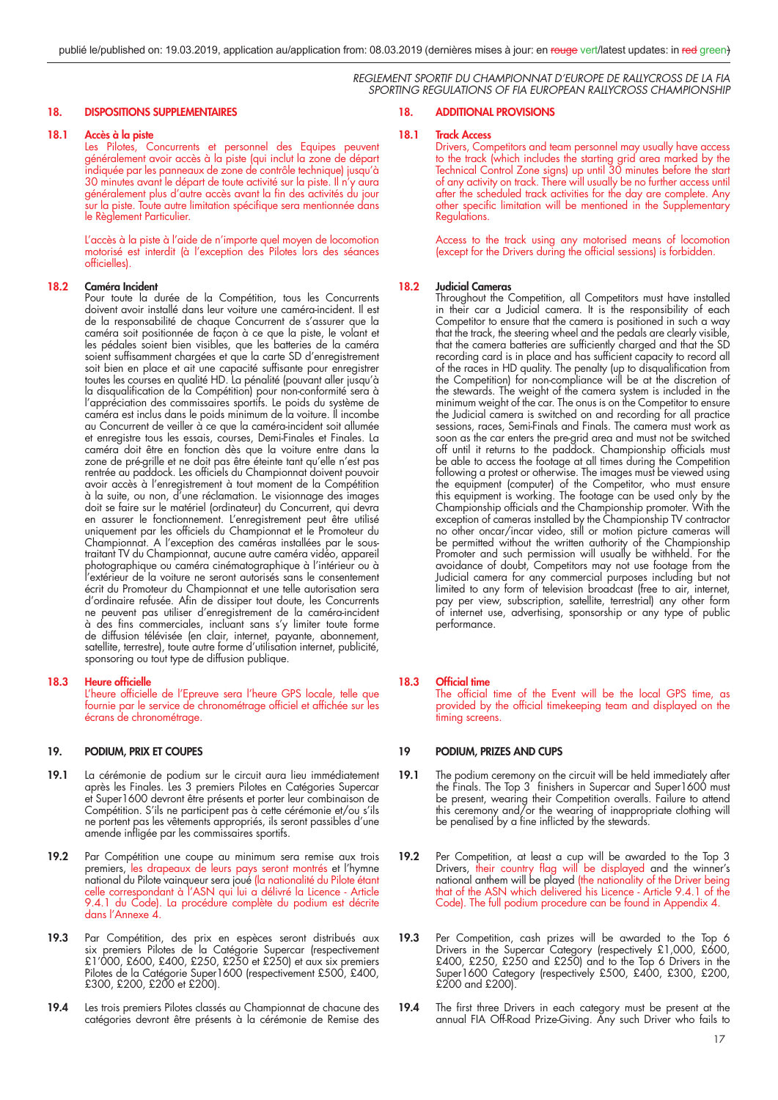# **18. DISPOSITIONS SUPPLEMENTAIRES**

# **18.1 Accès à la piste**

 Les Pilotes, Concurrents et personnel des Equipes peuvent généralement avoir accès à la piste (qui inclut la zone de départ indiquée par les panneaux de zone de contrôle technique) jusqu'à 30 minutes avant le départ de toute activité sur la piste. Il n'y aura généralement plus d'autre accès avant la fin des activités du jour  $\frac{1}{5}$ ur la piste. Toute autre limitation spécifique sera mentionnée dans le Règlement Particulier.

 L'accès à la piste à l'aide de n'importe quel moyen de locomotion motorisé est interdit (à l'exception des Pilotes lors des séances officielles).

#### **18.2 Caméra Incident**

 Pour toute la durée de la Compétition, tous les Concurrents doivent avoir installé dans leur voiture une caméra-incident. Il est de la responsabilité de chaque Concurrent de s'assurer que la caméra soit positionnée de façon à ce que la piste, le volant et les pédales soient bien visibles, que les batteries de la caméra soient suffisamment chargées et que la carte SD d'enregistrement soit bien en place et ait une capacité suffisante pour enregistrer toutes les courses en qualité HD. La pénalité (pouvant aller jusqu'à la disqualification de la Compétition) pour non-conformité sera à l'appréciation des commissaires sportifs. Le poids du système de caméra est inclus dans le poids minimum de la voiture. Il incombe au Concurrent de veiller à ce que la caméra-incident soit allumée et enregistre tous les essais, courses, Demi-Finales et Finales. La caméra doit être en fonction dès que la voiture entre dans la zone de pré-grille et ne doit pas être éteinte tant qu'elle n'est pas rentrée au paddock. Les officiels du Championnat doivent pouvoir avoir accès à l'enregistrement à tout moment de la Compétition à la suite, ou non, d'une réclamation. Le visionnage des images doit se faire sur le matériel (ordinateur) du Concurrent, qui devra en assurer le fonctionnement. L'enregistrement peut être utilisé uniquement par les officiels du Championnat et le Promoteur du Championnat. A l'exception des caméras installées par le soustraitant TV du Championnat, aucune autre caméra vidéo, appareil photographique ou caméra cinématographique à l'intérieur ou à l'extérieur de la voiture ne seront autorisés sans le consentement écrit du Promoteur du Championnat et une telle autorisation sera d'ordinaire refusée. Afin de dissiper tout doute, les Concurrents ne peuvent pas utiliser d'enregistrement de la caméra-incident à des fins commerciales, incluant sans s'y limiter toute forme de diffusion télévisée (en clair, internet, payante, abonnement, satellite, terrestre), toute autre forme d'utilisation internet, publicité, sponsoring ou tout type de diffusion publique.

# **18.3 Heure officielle**

L'heure officielle de l'Epreuve sera l'heure GPS locale, telle que fournie par le service de chronométrage officiel et affichée sur les écrans de chronométrage.

# **19. PODIUM, PRIX ET COUPES**

- **19.1** La cérémonie de podium sur le circuit aura lieu immédiatement après les Finales. Les 3 premiers Pilotes en Catégories Supercar et Super1600 devront être présents et porter leur combinaison de Compétition. S'ils ne participent pas à cette cérémonie et/ou s'ils ne portent pas les vêtements appropriés, ils seront passibles d'une amende infligée par les commissaires sportifs.
- **19.2** Par Compétition une coupe au minimum sera remise aux trois premiers, les drapeaux de leurs pays seront montrés et l'hymne national du Pilote vainqueur sera joué (la nationalité du Pilote étant celle correspondant à l'ASN qui lui a délivré la Licence - Article 9.4.1 du Code). La procédure complète du podium est décrite dans l'Annexe 4.
- **19.3** Par Compétition, des prix en espèces seront distribués aux six premiers Pilotes de la Catégorie Supercar (respectivement £1'000, £600, £400, £250, £250 et £250) et aux six premiers Pilotes de la Catégorie Super1600 (respectivement £500, £400, £300, £200, £200 et £200).
- **19.4** Les trois premiers Pilotes classés au Championnat de chacune des catégories devront être présents à la cérémonie de Remise des

# **18. ADDITIONAL PROVISIONS**

# **18.1 Track Access**

Drivers, Competitors and team personnel may usually have access to the track (which includes the starting grid area marked by the Technical Control Zone signs) up until 30 minutes before the start of any activity on track. There will usually be no further access until after the scheduled track activities for the day are complete. Any other specific limitation will be mentioned in the Supplementary Regulations.

 Access to the track using any motorised means of locomotion (except for the Drivers during the official sessions) is forbidden.

## **18.2 Judicial Cameras**

 Throughout the Competition, all Competitors must have installed in their car a Judicial camera. It is the responsibility of each Competitor to ensure that the camera is positioned in such a way that the track, the steering wheel and the pedals are clearly visible, that the camera batteries are sufficiently charged and that the SD recording card is in place and has sufficient capacity to record all of the races in HD quality. The penalty (up to disqualification from the Competition) for non-compliance will be at the discretion of the stewards. The weight of the camera system is included in the minimum weight of the car. The onus is on the Competitor to ensure the Judicial camera is switched on and recording for all practice sessions, races, Semi-Finals and Finals. The camera must work as soon as the car enters the pre-grid area and must not be switched off until it returns to the paddock. Championship officials must be able to access the footage at all times during the Competition following a protest or otherwise. The images must be viewed using the equipment (computer) of the Competitor, who must ensure this equipment is working. The footage can be used only by the Championship officials and the Championship promoter. With the exception of cameras installed by the Championship TV contractor no other oncar/incar video, still or motion picture cameras will be permitted without the written authority of the Championship Promoter and such permission will usually be withheld. For the avoidance of doubt, Competitors may not use footage from the Judicial camera for any commercial purposes including but not limited to any form of television broadcast (free to air, internet, pay per view, subscription, satellite, terrestrial) any other form of internet use, advertising, sponsorship or any type of public performance.

# **18.3** Official time

The official time of the Event will be the local GPS time, as provided by the official timekeeping team and displayed on the timing screens.

# **19 PODIUM, PRIZES AND CUPS**

- **19.1** The podium ceremony on the circuit will be held immediately after the Finals. The Top 3<sup>'</sup> finishers in Supercar and Super1600 must be present, wearing their Competition overalls. Failure to attend this ceremony and/or the wearing of inappropriate clothing will be penalised by a fine inflicted by the stewards.
- **19.2** Per Competition, at least a cup will be awarded to the Top 3 Drivers, their country flag will be displayed and the winner's national anthem will be played (the nationality of the Driver being that of the ASN which delivered his Licence - Article 9.4.1 of the Code). The full podium procedure can be found in Appendix 4.
- **19.3** Per Competition, cash prizes will be awarded to the Top 6 Drivers in the Supercar Category (respectively £1,000, £600, £400, £250, £250 and £250) and to the Top 6 Drivers in the Super1600 Category (respectively £500, £400, £300, £200, £200 and £200).
- 19.4 The first three Drivers in each category must be present at the annual FIA Off-Road Prize-Giving. Any such Driver who fails to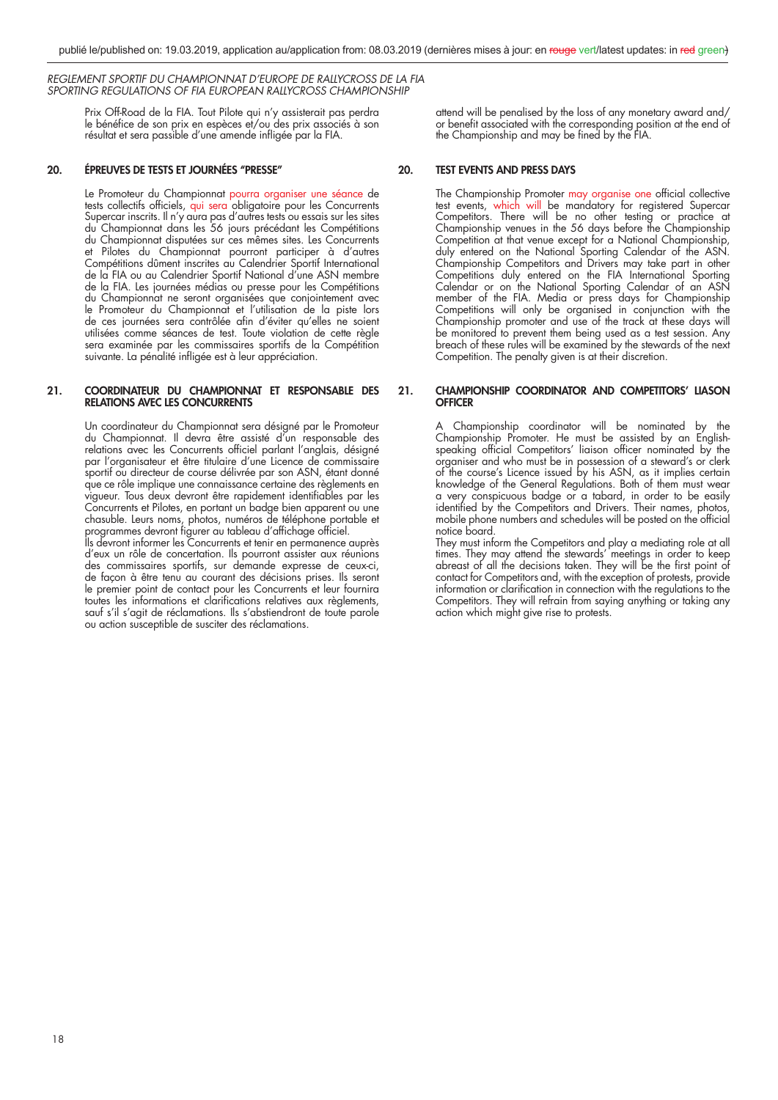> Prix Off-Road de la FIA. Tout Pilote qui n'y assisterait pas perdra le bénéfice de son prix en espèces et/ou des prix associés à son résultat et sera passible d'une amende infligée par la FIA.

# **20. ÉPREUVES DE TESTS ET JOURNÉES ''PRESSE''**

 Le Promoteur du Championnat pourra organiser une séance de tests collectifs officiels, qui sera obligatoire pour les Concurrents Supercar inscrits. Il n'y aura pas d'autres tests ou essais sur les sites du Championnat dans les 56 jours précédant les Compétitions du Championnat disputées sur ces mêmes sites. Les Concurrents et Pilotes du Championnat pourront participer à d'autres Compétitions dûment inscrites au Calendrier Sportif International de la FIA ou au Calendrier Sportif National d'une ASN membre de la FIA. Les journées médias ou presse pour les Compétitions du Championnat ne seront organisées que conjointement avec le Promoteur du Championnat et l'utilisation de la piste lors de ces journées sera contrôlée afin d'éviter qu'elles ne soient utilisées comme séances de test. Toute violation de cette règle sera examinée par les commissaires sportifs de la Compétition suivante. La pénalité infligée est à leur appréciation.

#### **21. COORDINATEUR DU CHAMPIONNAT ET RESPONSABLE DES RELATIONS AVEC LES CONCURRENTS**

 Un coordinateur du Championnat sera désigné par le Promoteur du Championnat. Il devra être assisté d'un responsable des relations avec les Concurrents officiel parlant l'anglais, désigné par l'organisateur et être titulaire d'une Licence de commissaire sportif ou directeur de course délivrée par son ASN, étant donné que ce rôle implique une connaissance certaine des règlements en vigueur. Tous deux devront être rapidement identifiables par les Concurrents et Pilotes, en portant un badge bien apparent ou une chasuble. Leurs noms, photos, numéros de téléphone portable et programmes devront figurer au tableau d'affichage officiel.

 Ils devront informer les Concurrents et tenir en permanence auprès d'eux un rôle de concertation. Ils pourront assister aux réunions des commissaires sportifs, sur demande expresse de ceux-ci, de façon à être tenu au courant des décisions prises. Ils seront le premier point de contact pour les Concurrents et leur fournira toutes les informations et clarifications relatives aux règlements, sauf s'il s'agit de réclamations. Ils s'abstiendront de toute parole ou action susceptible de susciter des réclamations.

attend will be penalised by the loss of any monetary award and/ or benefit associated with the corresponding position at the end of the Championship and may be fined by the FIA.

# **20. TEST EVENTS AND PRESS DAYS**

The Championship Promoter may organise one official collective test events, which will be mandatory for registered Supercar Competitors. There will be no other testing or practice at Championship venues in the 56 days before the Championship Competition at that venue except for a National Championship, duly entered on the National Sporting Calendar of the ASN. Championship Competitors and Drivers may take part in other Competitions duly entered on the FIA International Sporting Calendar or on the National Sporting Calendar of an ASN member of the FIA. Media or press days for Championship Competitions will only be organised in conjunction with the Championship promoter and use of the track at these days will be monitored to prevent them being used as a test session. Any breach of these rules will be examined by the stewards of the next Competition. The penalty given is at their discretion.

# **21. CHAMPIONSHIP COORDINATOR AND COMPETITORS' LIASON OFFICER**

 A Championship coordinator will be nominated by the Championship Promoter. He must be assisted by an Englishspeaking official Competitors' liaison officer nominated by the organiser and who must be in possession of a steward's or clerk of the course's Licence issued by his ASN, as it implies certain knowledge of the General Regulations. Both of them must wear a very conspicuous badge or a tabard, in order to be easily identified by the Competitors and Drivers. Their names, photos, mobile phone numbers and schedules will be posted on the official notice board.

 They must inform the Competitors and play a mediating role at all times. They may attend the stewards' meetings in order to keep abreast of all the decisions taken. They will be the first point of contact for Competitors and, with the exception of protests, provide information or clarification in connection with the regulations to the Competitors. They will refrain from saying anything or taking any action which might give rise to protests.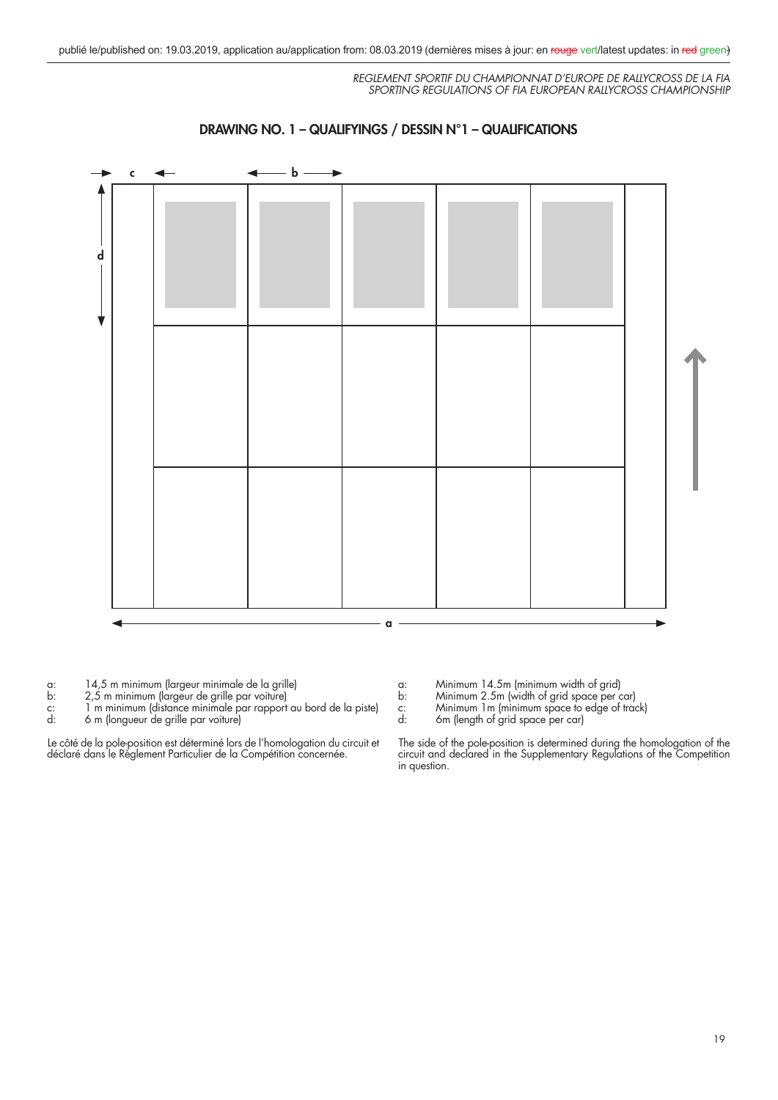

# **DRAWING NO. 1 – QUALIFYINGS / DESSIN N°1 – QUALIFICATIONS**



- 
- b:  $2,5$  m minimum (largeur de grille par voiture)<br>c: 1 m minimum (distance minimale par rapport<br>d: 6 m (longueur de grille par voiture) c: 1 m minimum (distance minimale par rapport au bord de la piste)
- d: 6 m (longueur de grille par voiture)

Le côté de la pole-position est déterminé lors de l'homologation du circuit et déclaré dans le Règlement Particulier de la Compétition concernée.

- a: Minimum 14.5m (minimum width of grid)
- 
- b: Minimum 2.5m (width of grid space per car)<br>c: Minimum 1m (minimum space to edge of tra<br>d: 6m (length of grid space per car) c: Minimum 1m (minimum space to edge of track)
- d: 6m (length of grid space per car)

The side of the pole-position is determined during the homologation of the circuit and declared in the Supplementary Regulations of the Competition in question.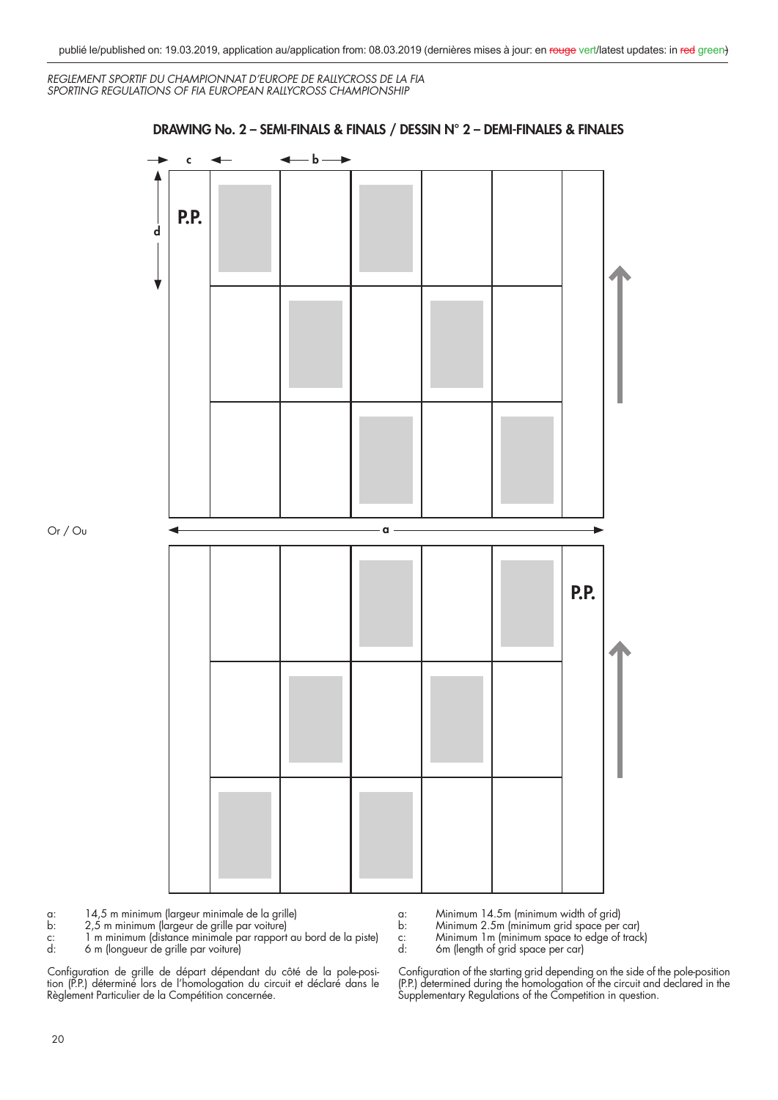

# **DRAWING No. 2 – SEMI-FINALS & FINALS / DESSIN N° 2 – DEMI-FINALES & FINALES**

a: 14,5 m minimum (largeur minimale de la grille)

b: 2,5 m minimum (largeur de grille par voiture)

c: 1 m minimum (distance minimale par rapport au bord de la piste) d: 6 m (longueur de grille par voiture)

b: Minimum 2.5m (minimum grid space per car)

c: Minimum 1m (minimum space to edge of track)<br>d: 6m (length of grid space per car) 6m (length of grid space per car)

a: Minimum 14.5m (minimum width of grid)

Configuration de grille de départ dépendant du côté de la pole-position (P.P.) déterminé lors de l'homologation du circuit et déclaré dans le Règlement Particulier de la Compétition concernée.

Configuration of the starting grid depending on the side of the pole-position (P.P.) determined during the homologation of the circuit and declared in the Supplementary Regulations of the Competition in question.

Or / Ou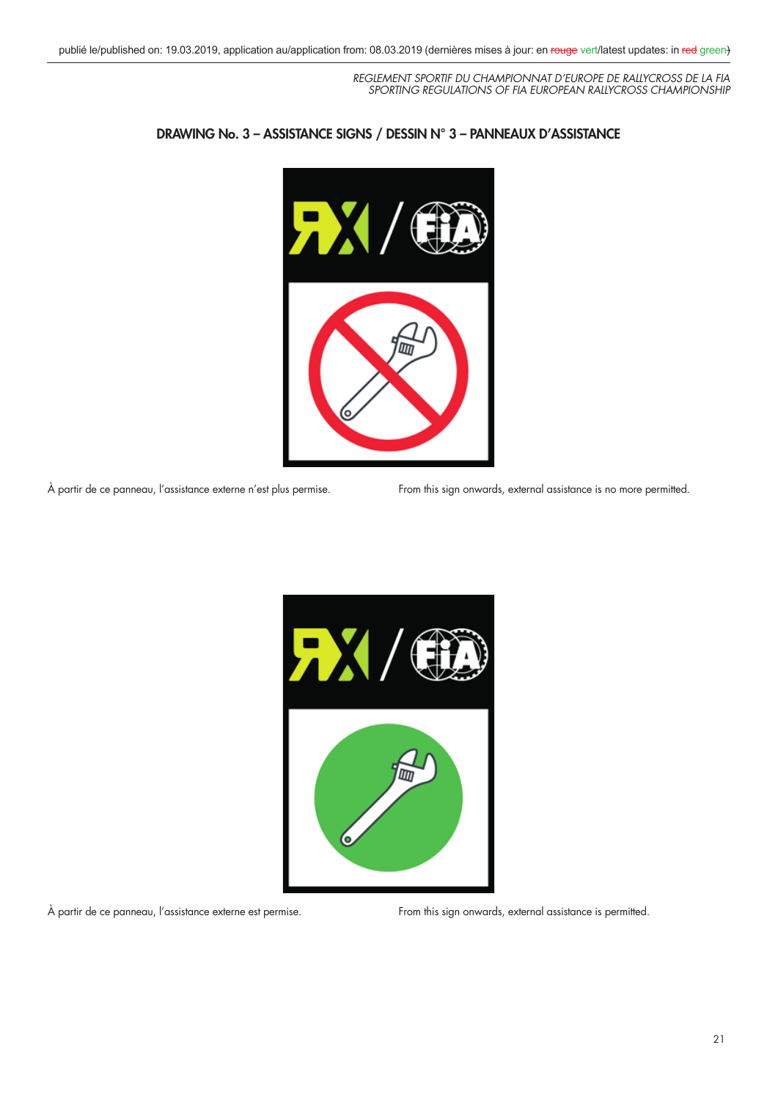

# **DRAWING No. 3 – ASSISTANCE SIGNS / DESSIN N° 3 – PANNEAUX D'ASSISTANCE**

À partir de ce panneau, l'assistance externe n'est plus permise. From this sign onwards, external assistance is no more permitted.



À partir de ce panneau, l'assistance externe est permise. From this sign onwards, external assistance is permitted.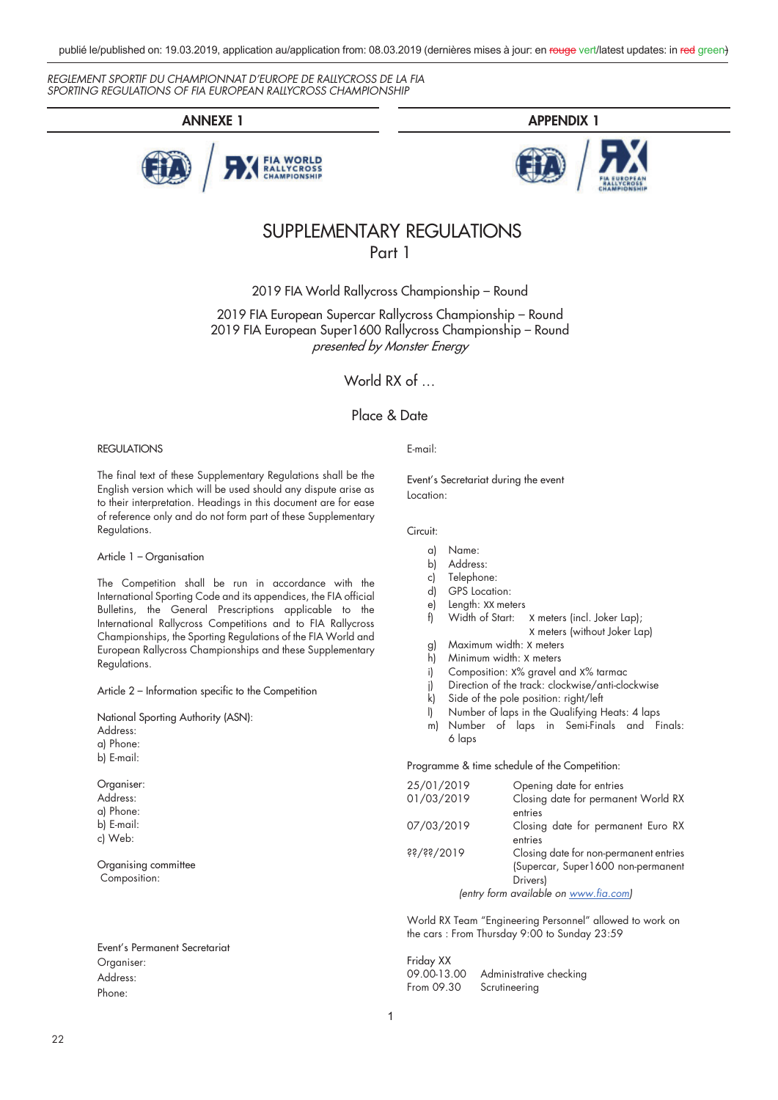





# SUPPLEMENTARY REGULATIONS Part 1

2019 FIA World Rallycross Championship – Round

2019 FIA European Supercar Rallycross Championship – Round 2019 FIA European Super1600 Rallycross Championship – Round presented by Monster Energy

World RX of …

# Place & Date

# REGULATIONS

The final text of these Supplementary Regulations shall be the English version which will be used should any dispute arise as to their interpretation. Headings in this document are for ease of reference only and do not form part of these Supplementary Regulations.

Article 1 – Organisation

The Competition shall be run in accordance with the International Sporting Code and its appendices, the FIA official Bulletins, the General Prescriptions applicable to the International Rallycross Competitions and to FIA Rallycross Championships, the Sporting Regulations of the FIA World and European Rallycross Championships and these Supplementary Regulations.

Article 2 – Information specific to the Competition

National Sporting Authority (ASN): Address: a) Phone: b) E-mail:

Organiser: Address: a) Phone: b) E-mail: c) Web:

Organising committee Composition:

Event's Permanent Secretariat Organiser: Address: Phone:

E-mail:

Event's Secretariat during the event Location:

#### Circuit:

- a) Name:
- b) Address:
- c) Telephone:
- d) GPS Location:
- e) Length: XX meters
- f) Width of Start: X meters (incl. Joker Lap);
	- X meters (without Joker Lap)
- g) Maximum width: X meters
- h) Minimum width: X meters
- i) Composition: X% gravel and X% tarmac
- j) Direction of the track: clockwise/anti-clockwise
- k) Side of the pole position: right/left
- l) Number of laps in the Qualifying Heats: 4 laps
- m) Number of laps in Semi-Finals and Finals: 6 laps

Programme & time schedule of the Competition:

| 25/01/2019                   | Opening date for entries               |
|------------------------------|----------------------------------------|
| 01/03/2019                   | Closing date for permanent World RX    |
|                              | entries                                |
| 07/03/2019                   | Closing date for permanent Euro RX     |
|                              | entries                                |
| $\frac{1}{2}$ \$\$\\$\$\\$\$ | Closing date for non-permanent entries |
|                              | (Supercar, Super1600 non-permanent     |
|                              | Drivers)                               |
|                              | (entry form available on www.fia.com)  |
|                              |                                        |

World RX Team "Engineering Personnel" allowed to work on the cars : From Thursday 9:00 to Sunday 23:59

Friday XX<br>09.00-13.00 Administrative checking From 09.30 Scrutineering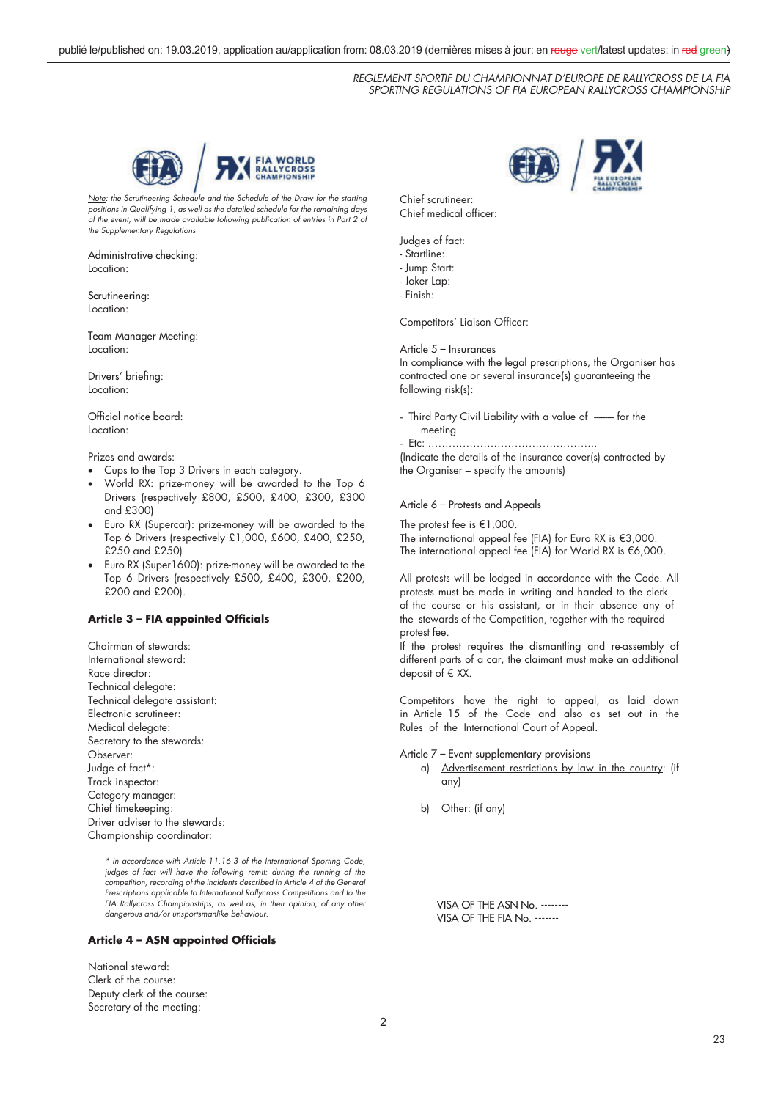

Note: the Scrutineering Schedule and the Schedule of the Draw for the starting positions in Qualifying 1, as well as the detailed schedule for the remaining days of the event, will be made available following publication of entries in Part 2 of the Supplementary Regulations

#### Administrative checking: Location:

Scrutineering: Location:

Team Manager Meeting: Location:

Drivers' briefing: Location:

Official notice board: Location:

Prizes and awards:

- Cups to the Top 3 Drivers in each category.
- World RX: prize-money will be awarded to the Top 6 Drivers (respectively £800, £500, £400, £300, £300 and £300)
- Euro RX (Supercar): prize-money will be awarded to the Top 6 Drivers (respectively £1,000, £600, £400, £250, £250 and £250)
- Euro RX (Super1600): prize-money will be awarded to the Top 6 Drivers (respectively £500, £400, £300, £200, £200 and £200).

# **Article 3 – FIA appointed Officials**

Chairman of stewards: International steward: Race director: Technical delegate: Technical delegate assistant: Electronic scrutineer: Medical delegate: Secretary to the stewards: Observer: Judge of fact\*: Track inspector: Category manager: Chief timekeeping Driver adviser to the stewards Championship coordinator:

> \* In accordance with Article 11.16.3 of the International Sporting Code, judges of fact will have the following remit: during the running of the competition, recording of the incidents described in Article 4 of the General Prescriptions applicable to International Rallycross Competitions and to the FIA Rallycross Championships, as well as, in their opinion, of any other dangerous and/or unsportsmanlike behaviour.

# **Article 4 – ASN appointed Officials**

National steward: Clerk of the course: Deputy clerk of the course: Secretary of the meeting:

Chief scrutineer: Chief medical officer:

Judges of fact:

- Startline: - Jump Start:
- Joker Lap:
- Finish:

Competitors' Liaison Officer:

# Article 5 – Insurances

In compliance with the legal prescriptions, the Organiser has contracted one or several insurance(s) guaranteeing the following risk(s):

- Third Party Civil Liability with a value of ----- for the meeting.

- Etc: .………………………………………... (Indicate the details of the insurance cover(s) contracted by the Organiser – specify the amounts)

# Article 6 – Protests and Appeals

The protest fee is €1,000.

The international appeal fee (FIA) for Euro RX is  $\in$ 3,000. The international appeal fee (FIA) for World RX is  $€6,000$ .

All protests will be lodged in accordance with the Code. All protests must be made in writing and handed to the clerk of the course or his assistant, or in their absence any of the stewards of the Competition, together with the required protest fee.

If the protest requires the dismantling and re-assembly of different parts of a car, the claimant must make an additional deposit of  $E$  XX.

Competitors have the right to appeal, as laid down in Article 15 of the Code and also as set out in the Rules of the International Court of Appeal.

Article 7 – Event supplementary provisions

- a) Advertisement restrictions by law in the country: (if any)
- b) Other: (if any)

VISA OF THE ASN No. -------- VISA OF THE FIA No. -------

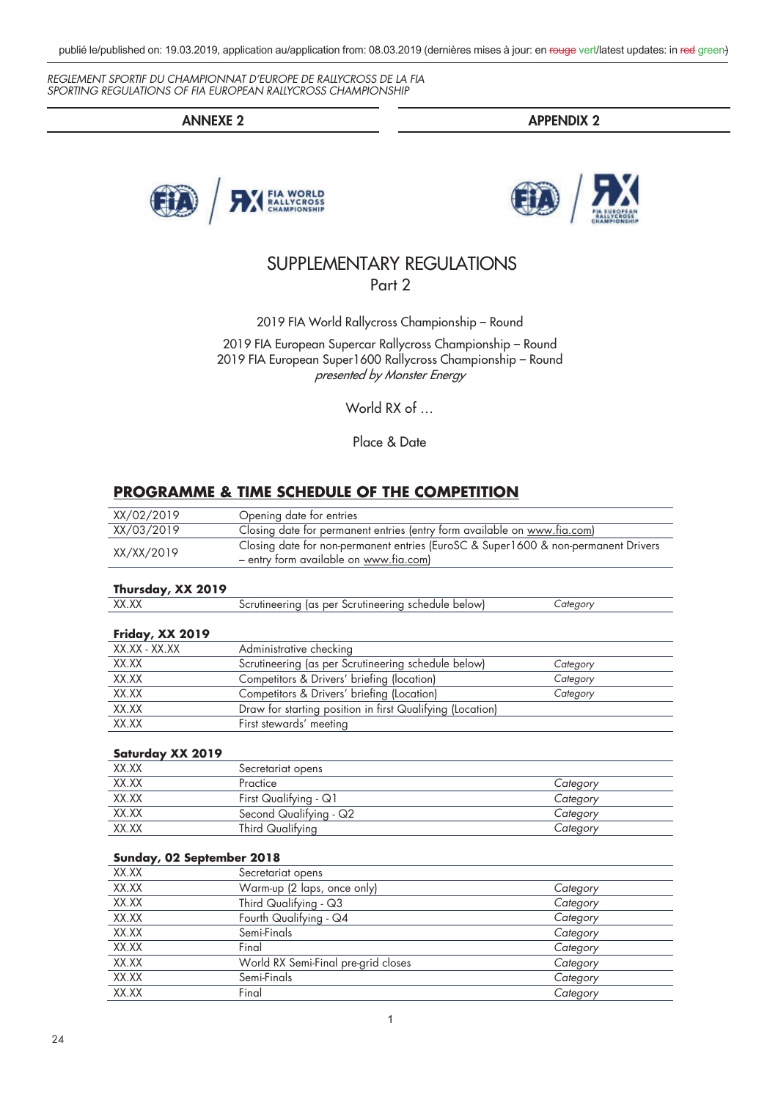**ANNEXE 2 APPENDIX 2**





# SUPPLEMENTARY REGULATIONS Part 2

2019 FIA World Rallycross Championship – Round

2019 FIA European Supercar Rallycross Championship – Round 2019 FIA European Super1600 Rallycross Championship – Round presented by Monster Energy

World RX of ...

Place & Date

# **PROGRAMME & TIME SCHEDULE OF THE COMPETITION**

| XX/02/2019                | Opening date for entries                                                           |          |  |
|---------------------------|------------------------------------------------------------------------------------|----------|--|
| XX/03/2019                | Closing date for permanent entries (entry form available on www.fia.com)           |          |  |
| XX/XX/2019                | Closing date for non-permanent entries (EuroSC & Super1600 & non-permanent Drivers |          |  |
|                           | - entry form available on www.fia.com)                                             |          |  |
| Thursday, XX 2019         |                                                                                    |          |  |
| XX.XX                     | Scrutineering (as per Scrutineering schedule below)                                | Category |  |
| Friday, XX 2019           |                                                                                    |          |  |
| XX.XX - XX.XX             | Administrative checking                                                            |          |  |
| XX.XX                     | Scrutineering (as per Scrutineering schedule below)                                | Category |  |
| XX.XX                     | Competitors & Drivers' briefing (location)                                         | Category |  |
| XX.XX                     | Competitors & Drivers' briefing (Location)                                         | Category |  |
| XX.XX                     | Draw for starting position in first Qualifying (Location)                          |          |  |
| XX.XX                     | First stewards' meeting                                                            |          |  |
| Saturday XX 2019          |                                                                                    |          |  |
| XX.XX                     | Secretariat opens                                                                  |          |  |
| XX.XX                     | Practice                                                                           | Category |  |
| XX.XX                     | First Qualifying - Q1                                                              | Category |  |
| XX.XX                     | Second Qualifying - Q2                                                             | Category |  |
| XX.XX                     | Third Qualifying                                                                   | Category |  |
| Sunday, 02 September 2018 |                                                                                    |          |  |
| XX.XX                     | Secretariat opens                                                                  |          |  |
| XX.XX                     | Warm-up (2 laps, once only)                                                        | Category |  |
| XX.XX                     | Third Qualifying - Q3                                                              | Category |  |
| XX.XX                     | Fourth Qualifying - Q4                                                             | Category |  |
| XX.XX                     | Semi-Finals                                                                        | Category |  |
| XX.XX                     | Final                                                                              | Category |  |
| XX.XX                     | World RX Semi-Final pre-grid closes                                                | Category |  |
| XX.XX                     | Semi-Finals                                                                        | Category |  |
| XX.XX                     | Final                                                                              | Category |  |
|                           |                                                                                    |          |  |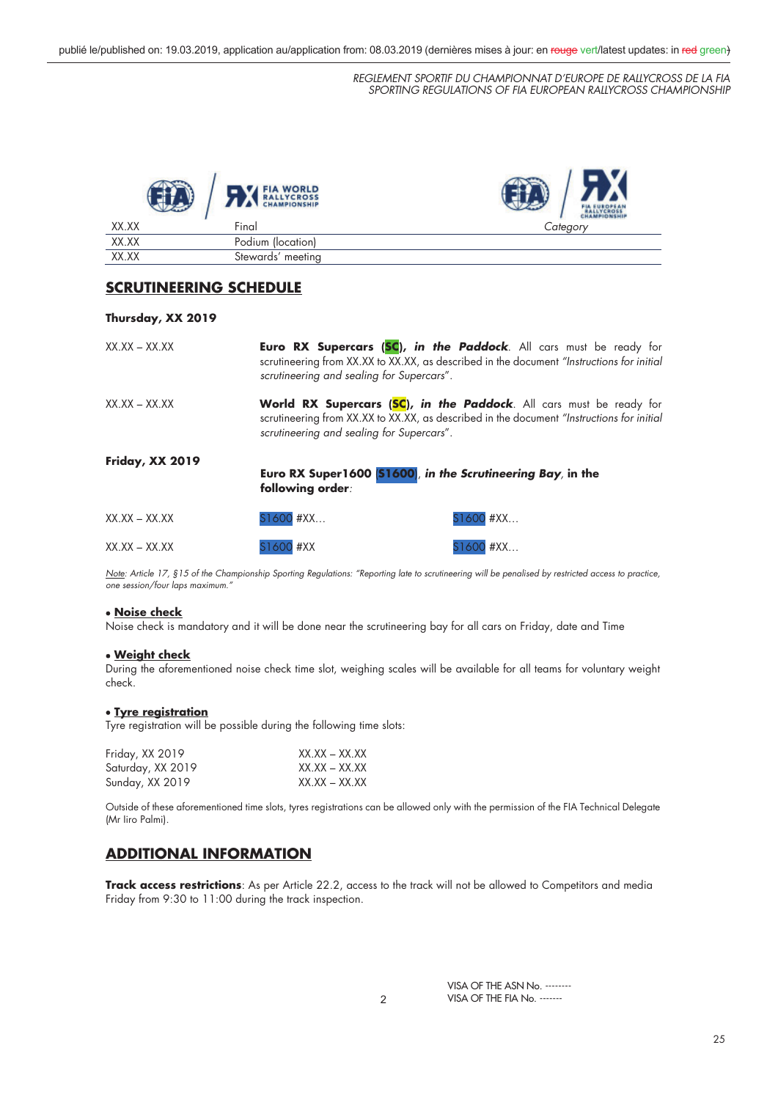

# **SCRUTINEERING SCHEDULE**

# **Thursday, XX 2019**

| $XX.XX - XX.XX$   | scrutineering and sealing for Supercars".                                                                                                                                                                     | Euro RX Supercars (SC), in the Paddock. All cars must be ready for<br>scrutineering from XX.XX to XX.XX, as described in the document "Instructions for initial |
|-------------------|---------------------------------------------------------------------------------------------------------------------------------------------------------------------------------------------------------------|-----------------------------------------------------------------------------------------------------------------------------------------------------------------|
| $XX$ XX $-$ XX XX | World RX Supercars (SC), in the Paddock. All cars must be ready for<br>scrutineering from XX.XX to XX.XX, as described in the document "Instructions for initial<br>scrutineering and sealing for Supercars". |                                                                                                                                                                 |
| Friday, XX 2019   | following order:                                                                                                                                                                                              | Euro RX Super1600 [S1600], in the Scrutineering Bay, in the                                                                                                     |
| $XX.XX - XX.XX$   | $$1600$ #XX                                                                                                                                                                                                   | S1600 #XX                                                                                                                                                       |
| $XX.XX - XX.XX$   | S1600 #XX                                                                                                                                                                                                     | S1600 #XX                                                                                                                                                       |

Note: Article 17, §15 of the Championship Sporting Regulations: "Reporting late to scrutineering will be penalised by restricted access to practice, one session/four laps maximum."

# x **Noise check**

Noise check is mandatory and it will be done near the scrutineering bay for all cars on Friday, date and Time

# x **Weight check**

During the aforementioned noise check time slot, weighing scales will be available for all teams for voluntary weight check.

# **• Tyre registration**

Tyre registration will be possible during the following time slots:

| Friday, XX 2019   | $XX.XX - XX.XX$ |
|-------------------|-----------------|
| Saturday, XX 2019 | $XX.XX - XX.XX$ |
| Sunday, XX 2019   | XX.XX – XX.XX   |

Outside of these aforementioned time slots, tyres registrations can be allowed only with the permission of the FIA Technical Delegate (Mr Iiro Palmi).

# **ADDITIONAL INFORMATION**

**Track access restrictions**: As per Article 22.2, access to the track will not be allowed to Competitors and media Friday from 9:30 to 11:00 during the track inspection.

> VISA OF THE ASN No. -------- VISA OF THE FIA No. -------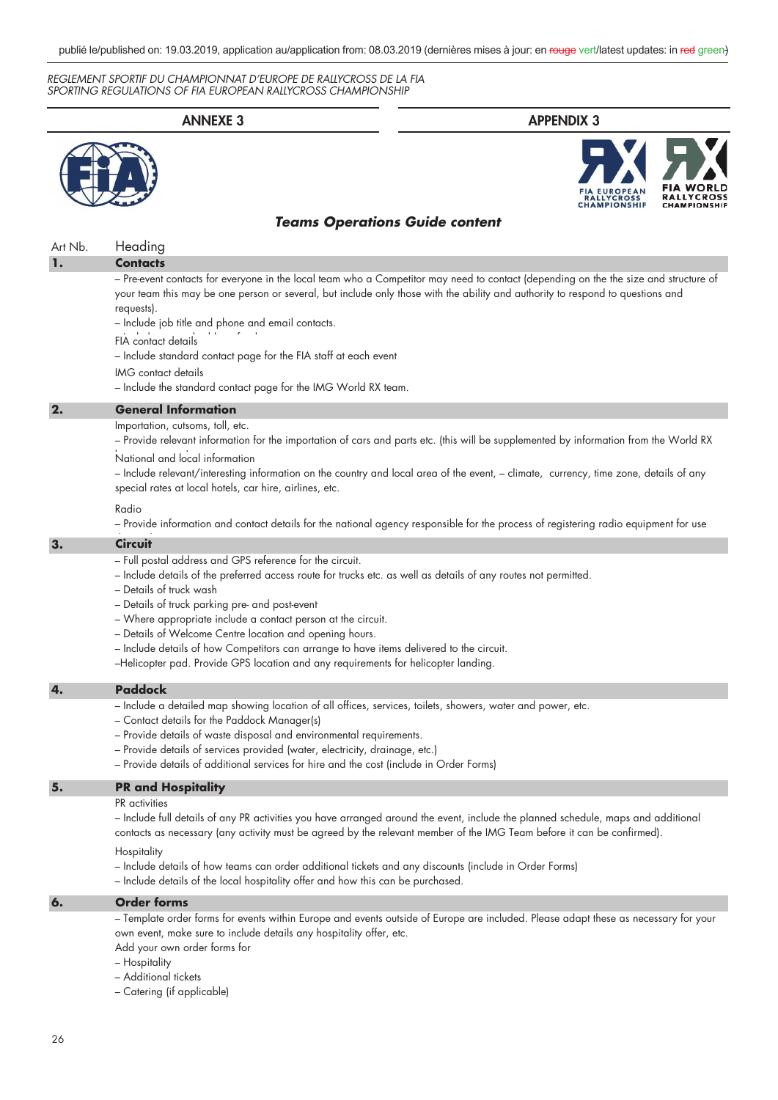# **ANNEXE 3 APPENDIX 3** Art Nb. Heading **1. 2. General Information Contacts** – Pre-event contacts for everyone in the local team who a Competitor may need to contact (depending on the the size and structure of your team this may be one person or several, but include only those with the ability and authority to respond to questions and requests). – Include job title and phone and email contacts. FIA contact details *Teams Operations Guide content* – Include standard contact page for the FIA staff at each event IMG contact details – Include the standard contact page for the IMG World RX team. Importation, cutsoms, toll, etc. – Provide relevant information for the importation of cars and parts etc. (this will be supplemented by information from the World RX National and local information

– Include relevant/interesting information on the country and local area of the event, – climate, currency, time zone, details of any special rates at local hotels, car hire, airlines, etc.

# Radio

– Provide information and contact details for the national agency responsible for the process of registering radio equipment for use

# **3. Circuit**

- Full postal address and GPS reference for the circuit.
- Include details of the preferred access route for trucks etc. as well as details of any routes not permitted.
- Details of truck wash
- Details of truck parking pre- and post-event
- Where appropriate include a contact person at the circuit.
- Details of Welcome Centre location and opening hours.
- Include details of how Competitors can arrange to have items delivered to the circuit.
- –Helicopter pad. Provide GPS location and any requirements for helicopter landing.

#### **4. Paddock**

- Include a detailed map showing location of all offices, services, toilets, showers, water and power, etc.
- Contact details for the Paddock Manager(s)
- Provide details of waste disposal and environmental requirements.
- Provide details of services provided (water, electricity, drainage, etc.)
- Provide details of additional services for hire and the cost (include in Order Forms)

#### **5. PR and Hospitality**

PR activities

– Include full details of any PR activities you have arranged around the event, include the planned schedule, maps and additional contacts as necessary (any activity must be agreed by the relevant member of the IMG Team before it can be confirmed).

**Hospitality** 

- Include details of how teams can order additional tickets and any discounts (include in Order Forms)
- Include details of the local hospitality offer and how this can be purchased.

#### **6. Order forms**

– Template order forms for events within Europe and events outside of Europe are included. Please adapt these as necessary for your own event, make sure to include details any hospitality offer, etc.

Add your own order forms for

- Hospitality
- Additional tickets

– Catering (if applicable)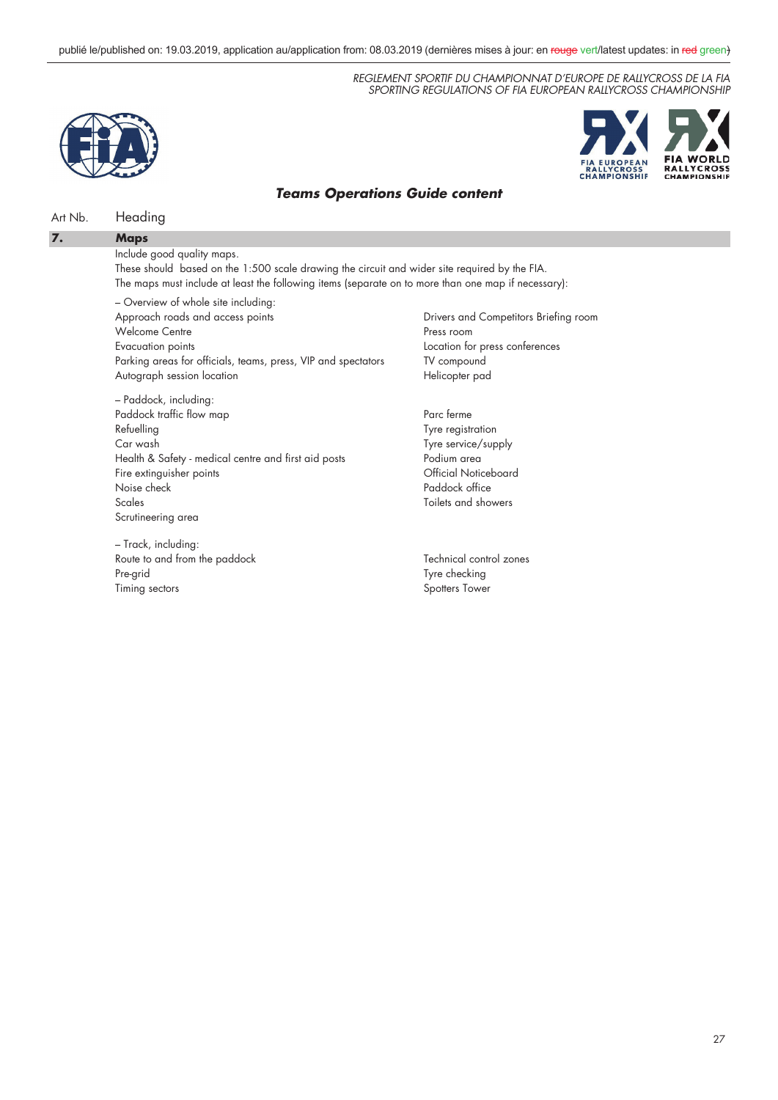



# *Teams Operations Guide content*

# Art Nb. Heading

**Maps**

# **7.**

Include good quality maps.

These should based on the 1:500 scale drawing the circuit and wider site required by the FIA. The maps must include at least the following items (separate on to more than one map if necessary):

– Overview of whole site including: Approach roads and access points Welcome Centre Evacuation points Parking areas for officials, teams, press, VIP and spectators Autograph session location

– Paddock, including: Paddock traffic flow map Refuelling Car wash Health & Safety - medical centre and first aid posts Fire extinguisher points Noise check Scales Scrutineering area

– Track, including: Route to and from the paddock Pre-grid Timing sectors

Drivers and Competitors Briefing room Press room Location for press conferences TV compound Helicopter pad

Parc ferme Tyre registration Tyre service/supply Podium area Official Noticeboard Paddock office Toilets and showers

Technical control zones Tyre checking Spotters Tower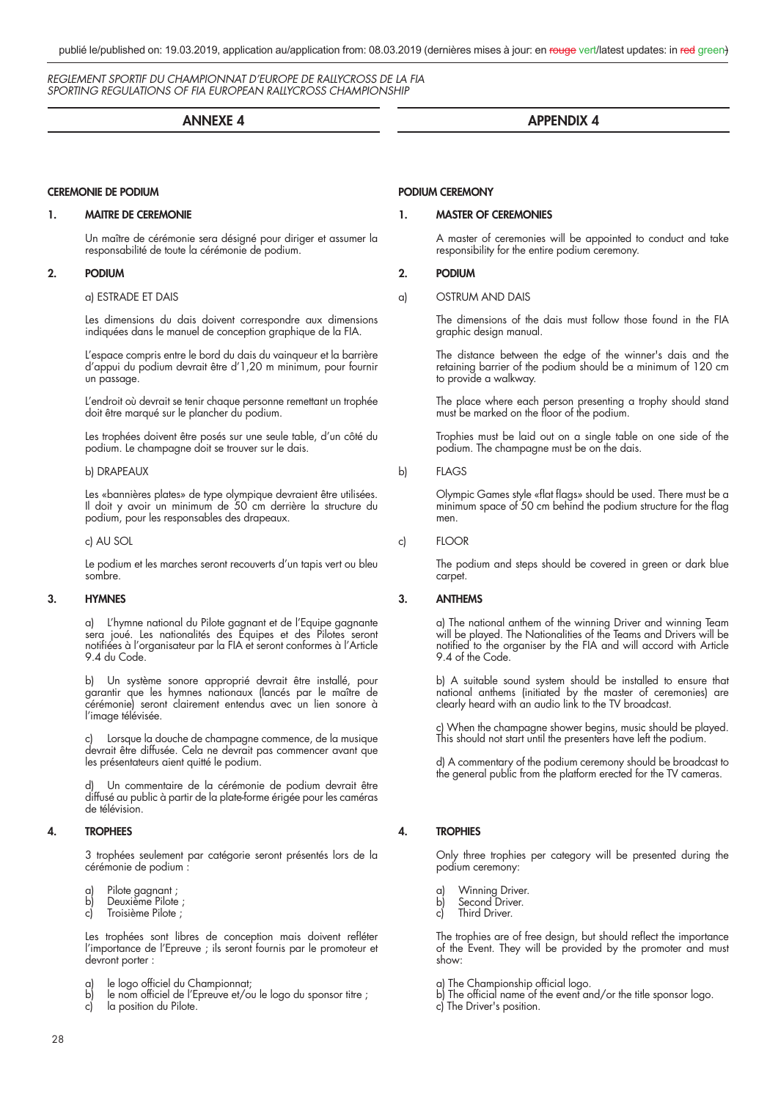# **ANNEXE 4**

# **CEREMONIE DE PODIUM**

#### **1. MAITRE DE CEREMONIE**

 Un maître de cérémonie sera désigné pour diriger et assumer la responsabilité de toute la cérémonie de podium.

# **2. PODIUM**

#### a) ESTRADE ET DAIS

 Les dimensions du dais doivent correspondre aux dimensions indiquées dans le manuel de conception graphique de la FIA.

 L'espace compris entre le bord du dais du vainqueur et la barrière d'appui du podium devrait être d'1,20 m minimum, pour fournir un passage.

 L'endroit où devrait se tenir chaque personne remettant un trophée doit être marqué sur le plancher du podium.

 Les trophées doivent être posés sur une seule table, d'un côté du podium. Le champagne doit se trouver sur le dais.

### b) DRAPEAUX

 Les «bannières plates» de type olympique devraient être utilisées. Il doit y avoir un minimum de 50 cm derrière la structure du podium, pour les responsables des drapeaux.

c) AU SOL

 Le podium et les marches seront recouverts d'un tapis vert ou bleu sombre.

# **3. HYMNES**

 a) L'hymne national du Pilote gagnant et de l'Equipe gagnante sera joué. Les nationalités des Equipes et des Pilotes seront notifi ées à l'organisateur par la FIA et seront conformes à l'Article 9.4 du Code.

> b) Un système sonore approprié devrait être installé, pour garantir que les hymnes nationaux (lancés par le maître de cérémonie) seront clairement entendus avec un lien sonore à l'image télévisée.

> Lorsque la douche de champagne commence, de la musique devrait être diffusée. Cela ne devrait pas commencer avant que les présentateurs aient quitté le podium.

> Un commentaire de la cérémonie de podium devrait être diffusé au public à partir de la plate-forme érigée pour les caméras de télévision.

# **4. TROPHEES**

 3 trophées seulement par catégorie seront présentés lors de la cérémonie de podium :

- a) Pilote gagnant ;
- b) Deuxième Pilote ;
- c) Troisième Pilote ;

Les trophées sont libres de conception mais doivent refléter l'importance de l'Epreuve ; ils seront fournis par le promoteur et devront porter :

- a) le logo officiel du Championnat;
- b) le nom officiel de l'Epreuve et/ou le logo du sponsor titre ;
- c) la position du Pilote.

# **APPENDIX 4**

# **PODIUM CEREMONY**

#### **1. MASTER OF CEREMONIES**

 A master of ceremonies will be appointed to conduct and take responsibility for the entire podium ceremony.

# **2. PODIUM**

### a) OSTRUM AND DAIS

 The dimensions of the dais must follow those found in the FIA graphic design manual.

 The distance between the edge of the winner's dais and the retaining barrier of the podium should be a minimum of 120 cm to provide a walkway.

 The place where each person presenting a trophy should stand must be marked on the floor of the podium.

> Trophies must be laid out on a single table on one side of the podium. The champagne must be on the dais.

# b) FLAGS

Olympic Games style «flat flags» should be used. There must be a  $minimum$  space of 50 cm behind the podium structure for the flag men.

c) FLOOR

 The podium and steps should be covered in green or dark blue carpet.

# **3. ANTHEMS**

 a) The national anthem of the winning Driver and winning Team will be played. The Nationalities of the Teams and Drivers will be notified to the organiser by the FIA and will accord with Article 9.4 of the Code.

 b) A suitable sound system should be installed to ensure that national anthems (initiated by the master of ceremonies) are clearly heard with an audio link to the TV broadcast.

 c) When the champagne shower begins, music should be played. This should not start until the presenters have left the podium.

> d) A commentary of the podium ceremony should be broadcast to the general public from the platform erected for the TV cameras.

# **4. TROPHIES**

 Only three trophies per category will be presented during the podium ceremony:

- 
- a) Winning Driver.<br>b) Second Driver. b) Second Driver.<br>c) Third Driver.
- Third Driver.

The trophies are of free design, but should reflect the importance of the Event. They will be provided by the promoter and must show:

- a) The Championship official logo.
- b) The official name of the event and/or the title sponsor logo.
- c) The Driver's position.